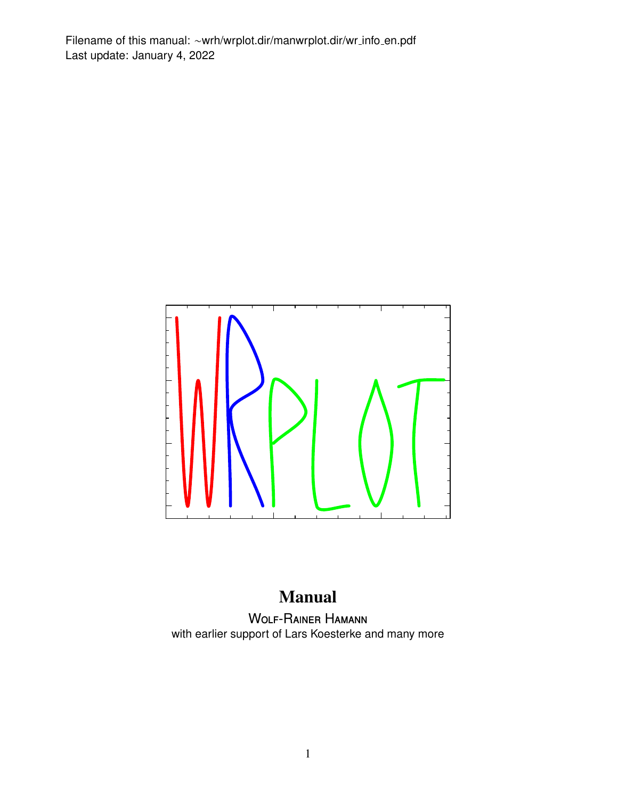<span id="page-0-0"></span>Filename of this manual: ∼wrh/wrplot.dir/manwrplot.dir/wr info en.pdf Last update: January 4, 2022



## Manual

Wolf-Rainer Hamann with earlier support of Lars Koesterke and many more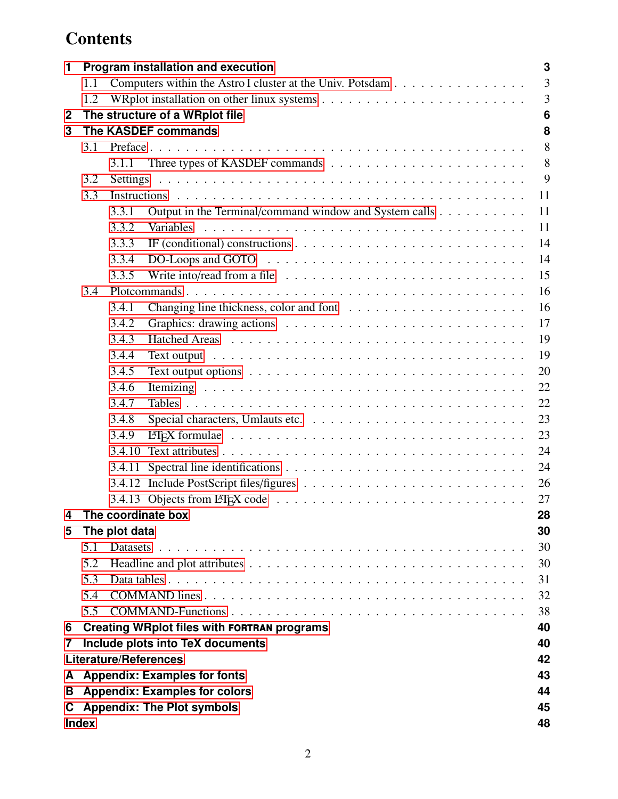# **Contents**

| 1            | 3<br><b>Program installation and execution</b> |                                     |                                                                                                    |    |  |  |  |  |  |  |  |
|--------------|------------------------------------------------|-------------------------------------|----------------------------------------------------------------------------------------------------|----|--|--|--|--|--|--|--|
|              | 1.1                                            |                                     | Computers within the Astro I cluster at the Univ. Potsdam                                          | 3  |  |  |  |  |  |  |  |
|              | 1.2                                            | 3                                   |                                                                                                    |    |  |  |  |  |  |  |  |
| $\mathbf{2}$ |                                                | The structure of a WRplot file<br>6 |                                                                                                    |    |  |  |  |  |  |  |  |
| 3            |                                                |                                     | The KASDEF commands                                                                                | 8  |  |  |  |  |  |  |  |
|              | 3.1                                            |                                     |                                                                                                    |    |  |  |  |  |  |  |  |
|              |                                                | 3.1.1                               |                                                                                                    | 8  |  |  |  |  |  |  |  |
|              | 3.2                                            |                                     |                                                                                                    | 9  |  |  |  |  |  |  |  |
|              | 3.3                                            |                                     |                                                                                                    | 11 |  |  |  |  |  |  |  |
|              |                                                | 3.3.1                               | Output in the Terminal/command window and System calls                                             | 11 |  |  |  |  |  |  |  |
|              |                                                | 3.3.2                               | Variables                                                                                          | 11 |  |  |  |  |  |  |  |
|              |                                                | 3.3.3                               |                                                                                                    | 14 |  |  |  |  |  |  |  |
|              |                                                | 3.3.4                               |                                                                                                    | 14 |  |  |  |  |  |  |  |
|              |                                                | 3.3.5                               | Write into/read from a file $\ldots \ldots \ldots \ldots \ldots \ldots \ldots \ldots \ldots$       | 15 |  |  |  |  |  |  |  |
|              | 3.4                                            |                                     |                                                                                                    | 16 |  |  |  |  |  |  |  |
|              |                                                | 3.4.1                               |                                                                                                    | 16 |  |  |  |  |  |  |  |
|              |                                                | 3.4.2                               |                                                                                                    | 17 |  |  |  |  |  |  |  |
|              |                                                | 3.4.3                               |                                                                                                    | 19 |  |  |  |  |  |  |  |
|              |                                                | 3.4.4                               |                                                                                                    | 19 |  |  |  |  |  |  |  |
|              |                                                | 3.4.5                               | Text output options $\ldots \ldots \ldots \ldots \ldots \ldots \ldots \ldots \ldots \ldots \ldots$ | 20 |  |  |  |  |  |  |  |
|              |                                                | 3.4.6                               |                                                                                                    | 22 |  |  |  |  |  |  |  |
|              |                                                | 3.4.7                               |                                                                                                    | 22 |  |  |  |  |  |  |  |
|              |                                                | 3.4.8                               |                                                                                                    | 23 |  |  |  |  |  |  |  |
|              |                                                | 3.4.9                               |                                                                                                    | 23 |  |  |  |  |  |  |  |
|              |                                                | 3.4.10                              |                                                                                                    | 24 |  |  |  |  |  |  |  |
|              |                                                | 3.4.11                              |                                                                                                    | 24 |  |  |  |  |  |  |  |
|              |                                                |                                     |                                                                                                    | 26 |  |  |  |  |  |  |  |
|              |                                                |                                     |                                                                                                    | 27 |  |  |  |  |  |  |  |
| 4            |                                                |                                     | The coordinate box                                                                                 | 28 |  |  |  |  |  |  |  |
| 5            |                                                | The plot data                       |                                                                                                    | 30 |  |  |  |  |  |  |  |
|              | 5.1                                            |                                     |                                                                                                    | 30 |  |  |  |  |  |  |  |
|              | 5.2                                            |                                     |                                                                                                    | 30 |  |  |  |  |  |  |  |
|              | 5.3                                            |                                     |                                                                                                    | 31 |  |  |  |  |  |  |  |
|              | 5.4                                            |                                     |                                                                                                    | 32 |  |  |  |  |  |  |  |
|              | 5.5                                            |                                     |                                                                                                    | 38 |  |  |  |  |  |  |  |
| 6            |                                                |                                     | <b>Creating WRplot files with FORTRAN programs</b>                                                 | 40 |  |  |  |  |  |  |  |
| 7            |                                                |                                     | Include plots into TeX documents                                                                   | 40 |  |  |  |  |  |  |  |
|              |                                                |                                     | <b>Literature/References</b>                                                                       | 42 |  |  |  |  |  |  |  |
| A            |                                                |                                     | <b>Appendix: Examples for fonts</b>                                                                | 43 |  |  |  |  |  |  |  |
| В            |                                                |                                     | <b>Appendix: Examples for colors</b>                                                               | 44 |  |  |  |  |  |  |  |
| C.           |                                                |                                     | <b>Appendix: The Plot symbols</b>                                                                  | 45 |  |  |  |  |  |  |  |
|              | <b>Index</b><br>48                             |                                     |                                                                                                    |    |  |  |  |  |  |  |  |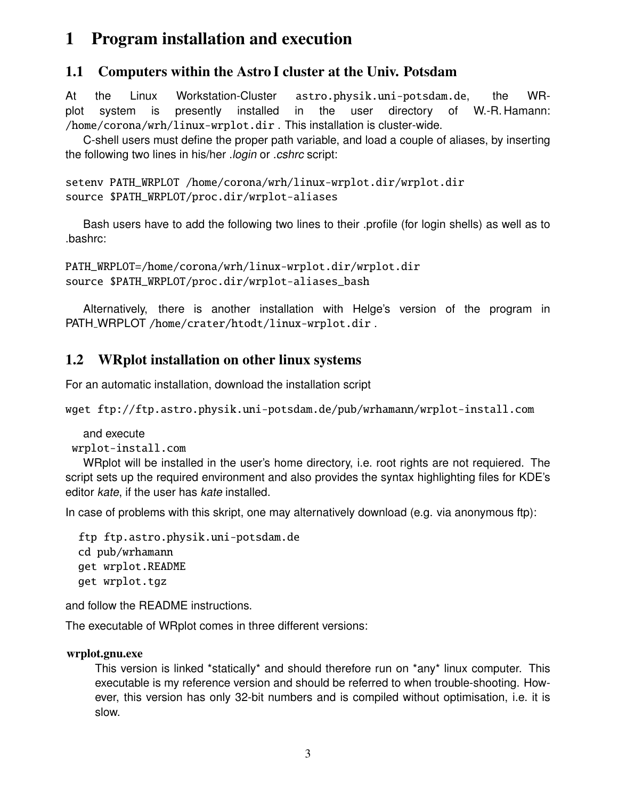## <span id="page-2-3"></span><span id="page-2-0"></span>1 Program installation and execution

## <span id="page-2-1"></span>1.1 Computers within the Astro I cluster at the Univ. Potsdam

At the Linux Workstation-Cluster astro.physik.uni-potsdam.de, the WRplot system is presently installed in the user directory of W.-R. Hamann: /home/corona/wrh/linux-wrplot.dir . This installation is cluster-wide.

C-shell users must define the proper path variable, and load a couple of aliases, by inserting the following two lines in his/her .login or .cshrc script:

```
setenv PATH_WRPLOT /home/corona/wrh/linux-wrplot.dir/wrplot.dir
source $PATH_WRPLOT/proc.dir/wrplot-aliases
```
Bash users have to add the following two lines to their .profile (for login shells) as well as to .bashrc:

```
PATH_WRPLOT=/home/corona/wrh/linux-wrplot.dir/wrplot.dir
source $PATH_WRPLOT/proc.dir/wrplot-aliases_bash
```
Alternatively, there is another installation with Helge's version of the program in PATH\_WRPLOT /home/crater/htodt/linux-wrplot.dir.

## <span id="page-2-2"></span>1.2 WRplot installation on other linux systems

For an automatic installation, download the installation script

wget ftp://ftp.astro.physik.uni-potsdam.de/pub/wrhamann/wrplot-install.com

and execute

wrplot-install.com

WRplot will be installed in the user's home directory, i.e. root rights are not requiered. The script sets up the required environment and also provides the syntax highlighting files for KDE's editor kate, if the user has kate installed.

In case of problems with this skript, one may alternatively download (e.g. via anonymous ftp):

```
ftp ftp.astro.physik.uni-potsdam.de
cd pub/wrhamann
get wrplot.README
get wrplot.tgz
```
and follow the README instructions.

The executable of WRplot comes in three different versions:

## wrplot.gnu.exe

This version is linked \*statically\* and should therefore run on \*any\* linux computer. This executable is my reference version and should be referred to when trouble-shooting. However, this version has only 32-bit numbers and is compiled without optimisation, i.e. it is slow.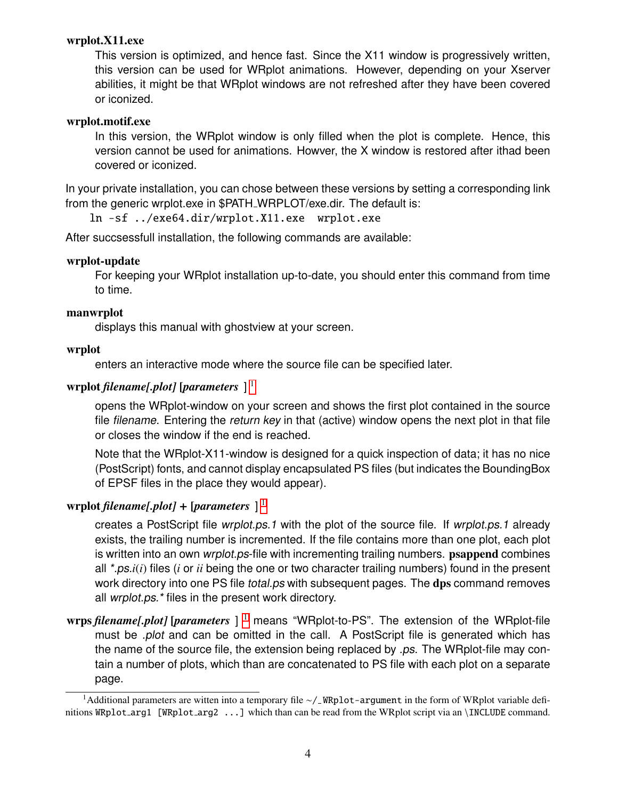#### <span id="page-3-0"></span>wrplot.X11.exe

This version is optimized, and hence fast. Since the X11 window is progressively written, this version can be used for WRplot animations. However, depending on your Xserver abilities, it might be that WRplot windows are not refreshed after they have been covered or iconized.

#### wrplot.motif.exe

In this version, the WRplot window is only filled when the plot is complete. Hence, this version cannot be used for animations. Howver, the X window is restored after ithad been covered or iconized.

In your private installation, you can chose between these versions by setting a corresponding link from the generic wrplot.exe in \$PATH WRPLOT/exe.dir. The default is:

ln -sf ../exe64.dir/wrplot.X11.exe wrplot.exe

After succsessfull installation, the following commands are available:

#### wrplot-update

For keeping your WRplot installation up-to-date, you should enter this command from time to time.

#### manwrplot

displays this manual with ghostview at your screen.

#### wrplot

enters an interactive mode where the source file can be specified later.

#### wrplot *filename[.plot]* [*parameters* ] [1](#page-0-0)

opens the WRplot-window on your screen and shows the first plot contained in the source file filename. Entering the return key in that (active) window opens the next plot in that file or closes the window if the end is reached.

Note that the WRplot-X11-window is designed for a quick inspection of data; it has no nice (PostScript) fonts, and cannot display encapsulated PS files (but indicates the BoundingBox of EPSF files in the place they would appear).

#### wrplot *filename[.plot]* + [*parameters* ] [1](#page-0-0)

creates a PostScript file wrplot.ps.1 with the plot of the source file. If wrplot.ps.1 already exists, the trailing number is incremented. If the file contains more than one plot, each plot is written into an own *wrplot.ps*-file with incrementing trailing numbers. **psappend** combines all \*.ps.*i*(*i*) files (*i* or *ii* being the one or two character trailing numbers) found in the present work directory into one PS file *total.ps* with subsequent pages. The dps command removes all wrplot.ps.\* files in the present work directory.

wrps *filename[.plot]* [*parameters* ] [1](#page-0-0) means "WRplot-to-PS". The extension of the WRplot-file must be *.plot* and can be omitted in the call. A PostScript file is generated which has the name of the source file, the extension being replaced by .ps. The WRplot-file may contain a number of plots, which than are concatenated to PS file with each plot on a separate page.

<sup>1</sup>Additional parameters are witten into a temporary file ∼/ WRplot-argument in the form of WRplot variable definitions WRplot\_arg1 [WRplot\_arg2 ...] which than can be read from the WRplot script via an \INCLUDE command.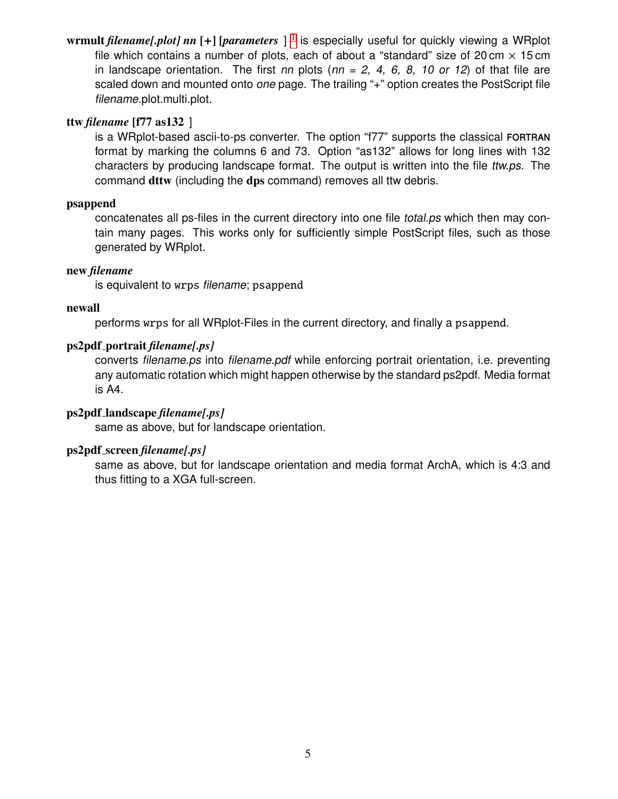<span id="page-4-0"></span>wrmult *filename[.plot] nn* [+] [*parameters* ] [1](#page-0-0) is especially useful for quickly viewing a WRplot file which contains a number of plots, each of about a "standard" size of 20 cm  $\times$  15 cm in landscape orientation. The first nn plots ( $nn = 2, 4, 6, 8, 10$  or 12) of that file are scaled down and mounted onto one page. The trailing "+" option creates the PostScript file filename.plot.multi.plot.

#### ttw *filename* [f77 as132 ]

is a WRplot-based ascii-to-ps converter. The option "f77" supports the classical fortran format by marking the columns 6 and 73. Option "as132" allows for long lines with 132 characters by producing landscape format. The output is written into the file ttw.ps. The command dttw (including the dps command) removes all ttw debris.

#### psappend

concatenates all ps-files in the current directory into one file total.ps which then may contain many pages. This works only for sufficiently simple PostScript files, such as those generated by WRplot.

#### new *filename*

is equivalent to wrps filename; psappend

#### newall

performs wrps for all WRplot-Files in the current directory, and finally a psappend.

#### ps2pdf portrait *filename[.ps]*

converts filename.ps into filename.pdf while enforcing portrait orientation, i.e. preventing any automatic rotation which might happen otherwise by the standard ps2pdf. Media format is A4.

#### ps2pdf landscape *filename[.ps]*

same as above, but for landscape orientation.

#### ps2pdf screen *filename[.ps]*

same as above, but for landscape orientation and media format ArchA, which is 4:3 and thus fitting to a XGA full-screen.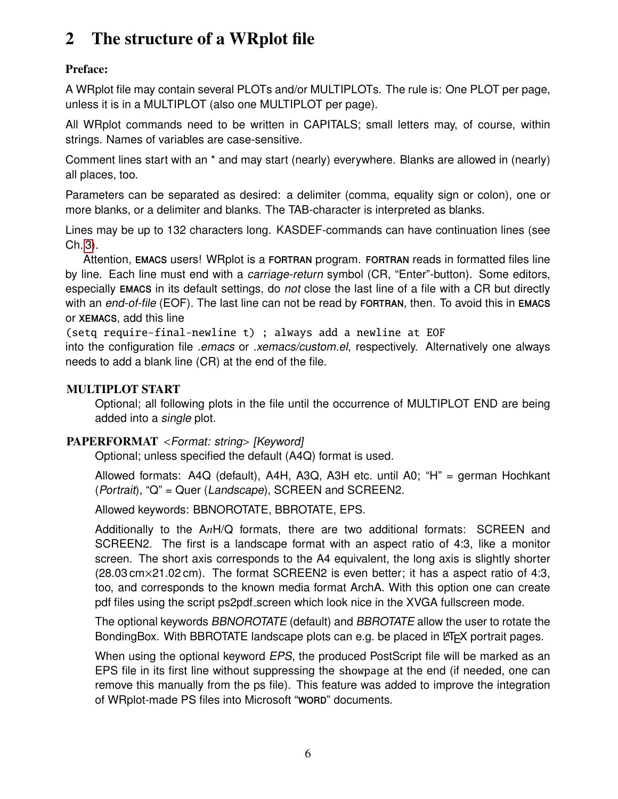# <span id="page-5-1"></span><span id="page-5-0"></span>2 The structure of a WRplot file

## Preface:

A WRplot file may contain several PLOTs and/or MULTIPLOTs. The rule is: One PLOT per page, unless it is in a MULTIPLOT (also one MULTIPLOT per page).

All WRplot commands need to be written in CAPITALS; small letters may, of course, within strings. Names of variables are case-sensitive.

Comment lines start with an \* and may start (nearly) everywhere. Blanks are allowed in (nearly) all places, too.

Parameters can be separated as desired: a delimiter (comma, equality sign or colon), one or more blanks, or a delimiter and blanks. The TAB-character is interpreted as blanks.

Lines may be up to 132 characters long. KASDEF-commands can have continuation lines (see Ch. [3\)](#page-7-0).

Attention, EMACS users! WRplot is a FORTRAN program. FORTRAN reads in formatted files line by line. Each line must end with a *carriage-return* symbol (CR, "Enter"-button). Some editors, especially emacs in its default settings, do not close the last line of a file with a CR but directly with an end-of-file (EOF). The last line can not be read by FORTRAN, then. To avoid this in EMACS or xemacs, add this line

(setq require-final-newline t) ; always add a newline at EOF

into the configuration file *emacs* or *xemacs/custom.el*, respectively. Alternatively one always needs to add a blank line (CR) at the end of the file.

## MULTIPLOT START

Optional; all following plots in the file until the occurrence of MULTIPLOT END are being added into a single plot.

## PAPERFORMAT <Format: string> [Keyword]

Optional; unless specified the default (A4Q) format is used.

Allowed formats: A4Q (default), A4H, A3Q, A3H etc. until A0; "H" = german Hochkant (Portrait), "Q" = Quer (Landscape), SCREEN and SCREEN2.

Allowed keywords: BBNOROTATE, BBROTATE, EPS.

Additionally to the A*n*H/Q formats, there are two additional formats: SCREEN and SCREEN2. The first is a landscape format with an aspect ratio of 4:3, like a monitor screen. The short axis corresponds to the A4 equivalent, the long axis is slightly shorter (28.03 cm×21.02 cm). The format SCREEN2 is even better; it has a aspect ratio of 4:3, too, and corresponds to the known media format ArchA. With this option one can create pdf files using the script ps2pdf screen which look nice in the XVGA fullscreen mode.

The optional keywords BBNOROTATE (default) and BBROTATE allow the user to rotate the BondingBox. With BBROTATE landscape plots can e.g. be placed in  $ET$  $\epsilon$ X portrait pages.

When using the optional keyword EPS, the produced PostScript file will be marked as an EPS file in its first line without suppressing the showpage at the end (if needed, one can remove this manually from the ps file). This feature was added to improve the integration of WRplot-made PS files into Microsoft "WORD" documents.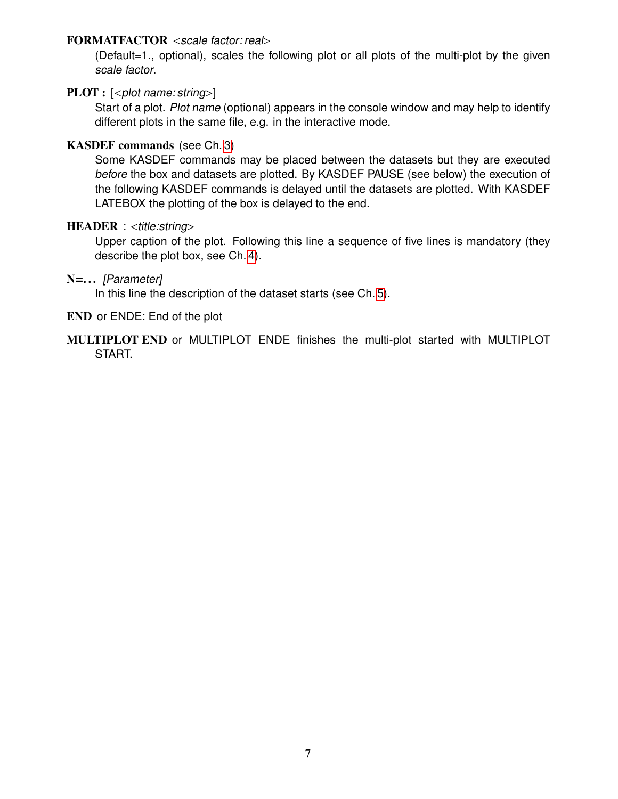#### FORMATFACTOR <scale factor: real>

(Default=1., optional), scales the following plot or all plots of the multi-plot by the given scale factor.

### $\text{PLOT}:$   $\lceil \text{$

Start of a plot. Plot name (optional) appears in the console window and may help to identify different plots in the same file, e.g. in the interactive mode.

## KASDEF commands (see Ch. [3\)](#page-7-0)

Some KASDEF commands may be placed between the datasets but they are executed before the box and datasets are plotted. By KASDEF PAUSE (see below) the execution of the following KASDEF commands is delayed until the datasets are plotted. With KASDEF LATEBOX the plotting of the box is delayed to the end.

#### $HEADER$  : <title:string>

Upper caption of the plot. Following this line a sequence of five lines is mandatory (they describe the plot box, see Ch. [4\)](#page-27-0).

#### N=... [Parameter]

In this line the description of the dataset starts (see Ch. [5\)](#page-29-0).

- END or ENDE: End of the plot
- MULTIPLOT END or MULTIPLOT ENDE finishes the multi-plot started with MULTIPLOT START.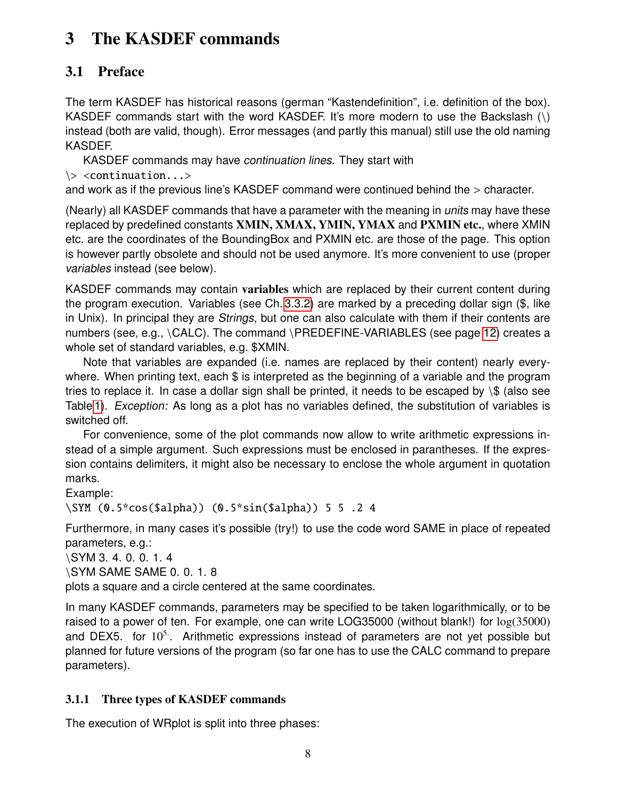## <span id="page-7-3"></span><span id="page-7-0"></span>3 The KASDEF commands

## <span id="page-7-1"></span>3.1 Preface

The term KASDEF has historical reasons (german "Kastendefinition", i.e. definition of the box). KASDEF commands start with the word KASDEF. It's more modern to use the Backslash (\) instead (both are valid, though). Error messages (and partly this manual) still use the old naming KASDEF.

KASDEF commands may have continuation lines. They start with

\> <continuation...>

and work as if the previous line's KASDEF command were continued behind the > character.

(Nearly) all KASDEF commands that have a parameter with the meaning in *units* may have these replaced by predefined constants XMIN, XMAX, YMIN, YMAX and PXMIN etc., where XMIN etc. are the coordinates of the BoundingBox and PXMIN etc. are those of the page. This option is however partly obsolete and should not be used anymore. It's more convenient to use (proper variables instead (see below).

KASDEF commands may contain variables which are replaced by their current content during the program execution. Variables (see Ch. [3.3.2\)](#page-10-2) are marked by a preceding dollar sign (\$, like in Unix). In principal they are Strings, but one can also calculate with them if their contents are numbers (see, e.g., \CALC). The command \PREDEFINE-VARIABLES (see page [12\)](#page-10-2) creates a whole set of standard variables, e.g. \$XMIN.

Note that variables are expanded (i.e. names are replaced by their content) nearly everywhere. When printing text, each \$ is interpreted as the beginning of a variable and the program tries to replace it. In case a dollar sign shall be printed, it needs to be escaped by  $\$ \$ (also see Table [1\)](#page-22-2). *Exception:* As long as a plot has no variables defined, the substitution of variables is switched off.

For convenience, some of the plot commands now allow to write arithmetic expressions instead of a simple argument. Such expressions must be enclosed in parantheses. If the expression contains delimiters, it might also be necessary to enclose the whole argument in quotation marks.

Example:

\SYM (0.5\*cos(\$alpha)) (0.5\*sin(\$alpha)) 5 5 .2 4

Furthermore, in many cases it's possible (try!) to use the code word SAME in place of repeated parameters, e.g.:

\SYM 3. 4. 0. 0. 1. 4

\SYM SAME SAME 0. 0. 1. 8

plots a square and a circle centered at the same coordinates.

In many KASDEF commands, parameters may be specified to be taken logarithmically, or to be raised to a power of ten. For example, one can write LOG35000 (without blank!) for log(35000) and DEX5. for  $10^5$ . Arithmetic expressions instead of parameters are not yet possible but planned for future versions of the program (so far one has to use the CALC command to prepare parameters).

## <span id="page-7-2"></span>3.1.1 Three types of KASDEF commands

The execution of WRplot is split into three phases: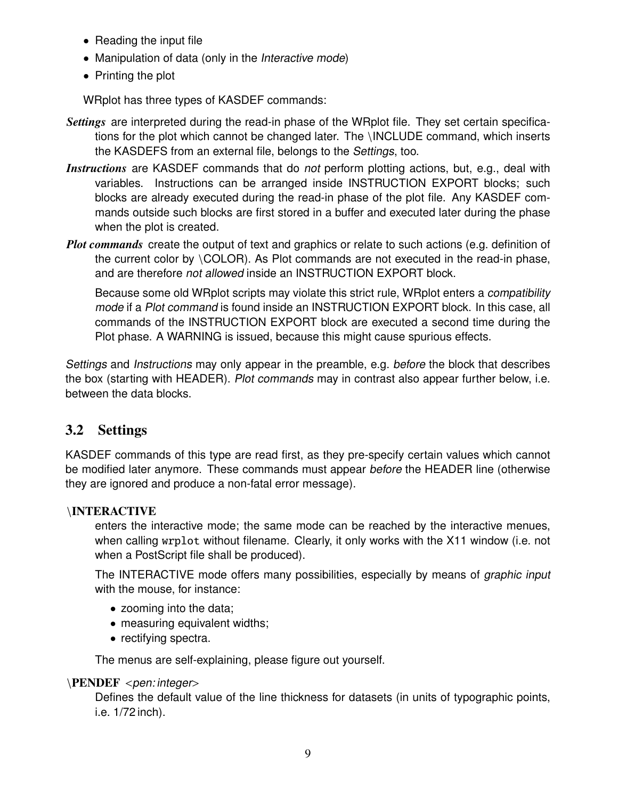- <span id="page-8-1"></span>• Reading the input file
- Manipulation of data (only in the Interactive mode)
- Printing the plot

WRplot has three types of KASDEF commands:

- *Settings* are interpreted during the read-in phase of the WRplot file. They set certain specifications for the plot which cannot be changed later. The \INCLUDE command, which inserts the KASDEFS from an external file, belongs to the Settings, too.
- *Instructions* are KASDEF commands that do not perform plotting actions, but, e.g., deal with variables. Instructions can be arranged inside INSTRUCTION EXPORT blocks; such blocks are already executed during the read-in phase of the plot file. Any KASDEF commands outside such blocks are first stored in a buffer and executed later during the phase when the plot is created.
- *Plot commands* create the output of text and graphics or relate to such actions (e.g. definition of the current color by \COLOR). As Plot commands are not executed in the read-in phase, and are therefore not allowed inside an INSTRUCTION EXPORT block.

Because some old WRplot scripts may violate this strict rule, WRplot enters a compatibility mode if a Plot command is found inside an INSTRUCTION EXPORT block. In this case, all commands of the INSTRUCTION EXPORT block are executed a second time during the Plot phase. A WARNING is issued, because this might cause spurious effects.

Settings and Instructions may only appear in the preamble, e.g. before the block that describes the box (starting with HEADER). Plot commands may in contrast also appear further below, i.e. between the data blocks.

## <span id="page-8-0"></span>3.2 Settings

KASDEF commands of this type are read first, as they pre-specify certain values which cannot be modified later anymore. These commands must appear before the HEADER line (otherwise they are ignored and produce a non-fatal error message).

## \INTERACTIVE

enters the interactive mode; the same mode can be reached by the interactive menues, when calling wrplot without filename. Clearly, it only works with the X11 window (i.e. not when a PostScript file shall be produced).

The INTERACTIVE mode offers many possibilities, especially by means of graphic input with the mouse, for instance:

- zooming into the data;
- measuring equivalent widths;
- rectifying spectra.

The menus are self-explaining, please figure out yourself.

#### \PENDEF <pen: integer>

Defines the default value of the line thickness for datasets (in units of typographic points, i.e. 1/72 inch).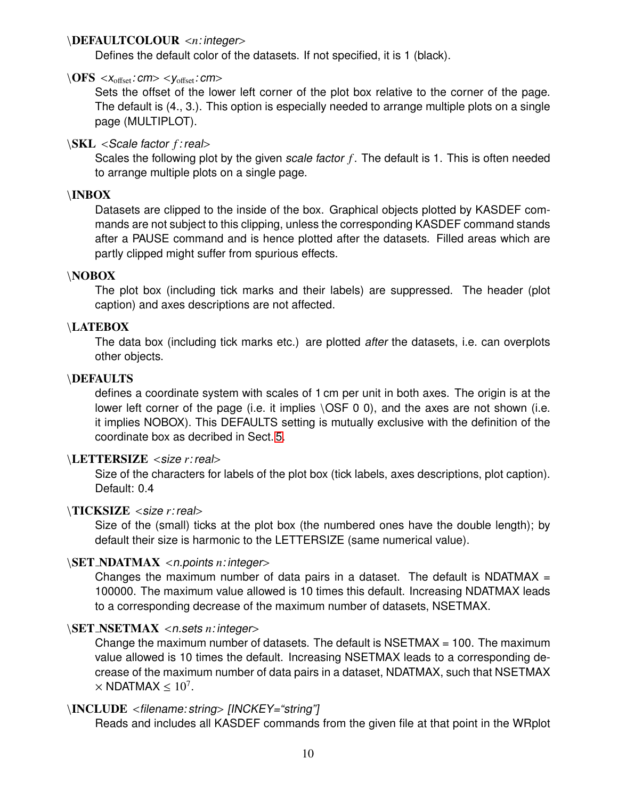#### <span id="page-9-0"></span>\DEFAULTCOLOUR <*n*: integer>

Defines the default color of the datasets. If not specified, it is 1 (black).

#### $\langle$  OFS < $x_{\text{offset}}$ : cm> < $y_{\text{offset}}$ : cm>

Sets the offset of the lower left corner of the plot box relative to the corner of the page. The default is (4., 3.). This option is especially needed to arrange multiple plots on a single page (MULTIPLOT).

### \SKL <Scale factor *<sup>f</sup>* : real>

Scales the following plot by the given scale factor f. The default is 1. This is often needed to arrange multiple plots on a single page.

## \INBOX

Datasets are clipped to the inside of the box. Graphical objects plotted by KASDEF commands are not subject to this clipping, unless the corresponding KASDEF command stands after a PAUSE command and is hence plotted after the datasets. Filled areas which are partly clipped might suffer from spurious effects.

#### \NOBOX

The plot box (including tick marks and their labels) are suppressed. The header (plot caption) and axes descriptions are not affected.

#### \LATEBOX

The data box (including tick marks etc.) are plotted after the datasets, i.e. can overplots other objects.

#### \DEFAULTS

defines a coordinate system with scales of 1 cm per unit in both axes. The origin is at the lower left corner of the page (i.e. it implies  $\setminus$ OSF 0 0), and the axes are not shown (i.e. it implies NOBOX). This DEFAULTS setting is mutually exclusive with the definition of the coordinate box as decribed in Sect. [5.](#page-29-0)

#### \LETTERSIZE <size *<sup>r</sup>*: real>

Size of the characters for labels of the plot box (tick labels, axes descriptions, plot caption). Default: 0.4

#### \TICKSIZE <size *<sup>r</sup>*: real>

Size of the (small) ticks at the plot box (the numbered ones have the double length); by default their size is harmonic to the LETTERSIZE (same numerical value).

#### \SET NDATMAX <n.points *<sup>n</sup>*: integer>

Changes the maximum number of data pairs in a dataset. The default is  $NDATMAX =$ 100000. The maximum value allowed is 10 times this default. Increasing NDATMAX leads to a corresponding decrease of the maximum number of datasets, NSETMAX.

#### \SET NSETMAX <n.sets *<sup>n</sup>*: integer>

Change the maximum number of datasets. The default is  $NSETMAX = 100$ . The maximum value allowed is 10 times the default. Increasing NSETMAX leads to a corresponding decrease of the maximum number of data pairs in a dataset, NDATMAX, such that NSETMAX  $\times$  NDATMAX  $\leq 10^7$ .

#### \INCLUDE <filename: string> [INCKEY="string"]

Reads and includes all KASDEF commands from the given file at that point in the WRplot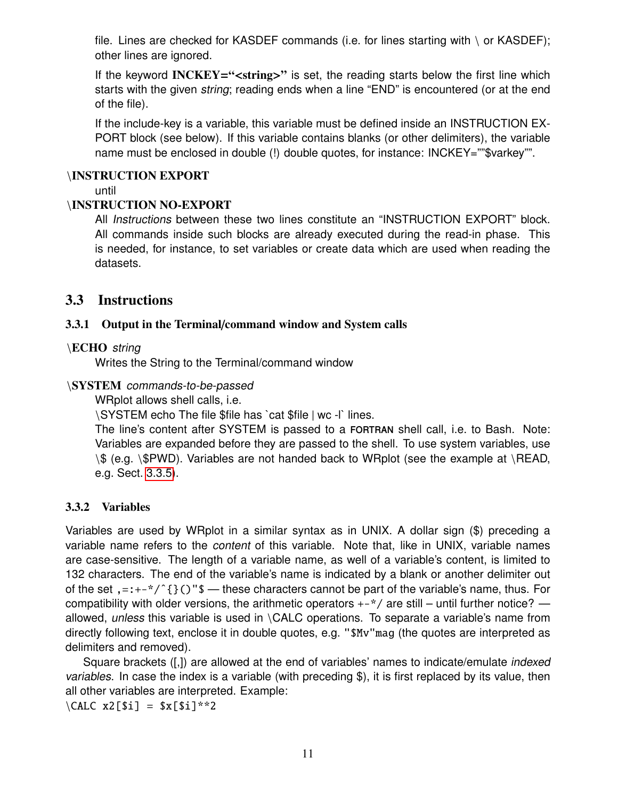<span id="page-10-3"></span>file. Lines are checked for KASDEF commands (i.e. for lines starting with  $\setminus$  or KASDEF); other lines are ignored.

If the keyword INCKEY="<string>" is set, the reading starts below the first line which starts with the given *string*; reading ends when a line "END" is encountered (or at the end of the file).

If the include-key is a variable, this variable must be defined inside an INSTRUCTION EX-PORT block (see below). If this variable contains blanks (or other delimiters), the variable name must be enclosed in double (!) double quotes, for instance: INCKEY=""\$varkey"".

### \INSTRUCTION EXPORT

until

## \INSTRUCTION NO-EXPORT

All Instructions between these two lines constitute an "INSTRUCTION EXPORT" block. All commands inside such blocks are already executed during the read-in phase. This is needed, for instance, to set variables or create data which are used when reading the datasets.

## <span id="page-10-0"></span>3.3 Instructions

## <span id="page-10-1"></span>3.3.1 Output in the Terminal/command window and System calls

## \ECHO string

Writes the String to the Terminal/command window

## \SYSTEM commands-to-be-passed

WRplot allows shell calls, i.e.

\SYSTEM echo The file \$file has `cat \$file | wc -l` lines.

The line's content after SYSTEM is passed to a fortran shell call, i.e. to Bash. Note: Variables are expanded before they are passed to the shell. To use system variables, use \\$ (e.g. \\$PWD). Variables are not handed back to WRplot (see the example at \READ, e.g. Sect. [3.3.5\)](#page-14-0).

## <span id="page-10-2"></span>3.3.2 Variables

Variables are used by WRplot in a similar syntax as in UNIX. A dollar sign (\$) preceding a variable name refers to the content of this variable. Note that, like in UNIX, variable names are case-sensitive. The length of a variable name, as well of a variable's content, is limited to 132 characters. The end of the variable's name is indicated by a blank or another delimiter out of the set ,=:+-\*/^{}()"\$ — these characters cannot be part of the variable's name, thus. For compatibility with older versions, the arithmetic operators  $+-\gamma$  are still – until further notice? allowed, unless this variable is used in \CALC operations. To separate a variable's name from directly following text, enclose it in double quotes, e.g. "\$Mv"mag (the quotes are interpreted as delimiters and removed).

Square brackets ([,]) are allowed at the end of variables' names to indicate/emulate indexed variables. In case the index is a variable (with preceding \$), it is first replaced by its value, then all other variables are interpreted. Example:

 $\widehat{CALC}$  x2[\$i] = \$x[\$i]\*\*2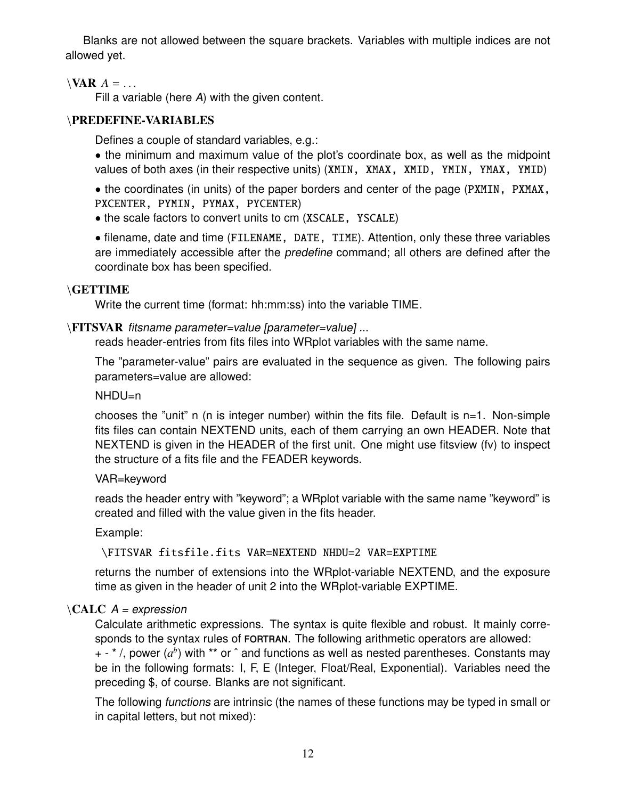<span id="page-11-0"></span>Blanks are not allowed between the square brackets. Variables with multiple indices are not allowed yet.

## $\forall$ **AR**  $A = \dots$

Fill a variable (here A) with the given content.

## \PREDEFINE-VARIABLES

Defines a couple of standard variables, e.g.:

• the minimum and maximum value of the plot's coordinate box, as well as the midpoint values of both axes (in their respective units) (XMIN, XMAX, XMID, YMIN, YMAX, YMID)

• the coordinates (in units) of the paper borders and center of the page (PXMIN, PXMAX, PXCENTER, PYMIN, PYMAX, PYCENTER)

• the scale factors to convert units to cm (XSCALE, YSCALE)

• filename, date and time (FILENAME, DATE, TIME). Attention, only these three variables are immediately accessible after the *predefine* command; all others are defined after the coordinate box has been specified.

## \GETTIME

Write the current time (format: hh:mm:ss) into the variable TIME.

## \FITSVAR fitsname parameter=value [parameter=value] ...

reads header-entries from fits files into WRplot variables with the same name.

The "parameter-value" pairs are evaluated in the sequence as given. The following pairs parameters=value are allowed:

#### NHDU=n

chooses the "unit" n (n is integer number) within the fits file. Default is n=1. Non-simple fits files can contain NEXTEND units, each of them carrying an own HEADER. Note that NEXTEND is given in the HEADER of the first unit. One might use fitsview (fv) to inspect the structure of a fits file and the FEADER keywords.

#### VAR=keyword

reads the header entry with "keyword"; a WRplot variable with the same name "keyword" is created and filled with the value given in the fits header.

Example:

## \FITSVAR fitsfile.fits VAR=NEXTEND NHDU=2 VAR=EXPTIME

returns the number of extensions into the WRplot-variable NEXTEND, and the exposure time as given in the header of unit 2 into the WRplot-variable EXPTIME.

## $\backslash$ CALC A = expression

Calculate arithmetic expressions. The syntax is quite flexible and robust. It mainly corresponds to the syntax rules of FORTRAN. The following arithmetic operators are allowed:

+ - \* /, power (a<sup>b</sup>) with \*\* or ^ and functions as well as nested parentheses. Constants may be in the following formats: I, F, E (Integer, Float/Real, Exponential). Variables need the preceding \$, of course. Blanks are not significant.

The following functions are intrinsic (the names of these functions may be typed in small or in capital letters, but not mixed):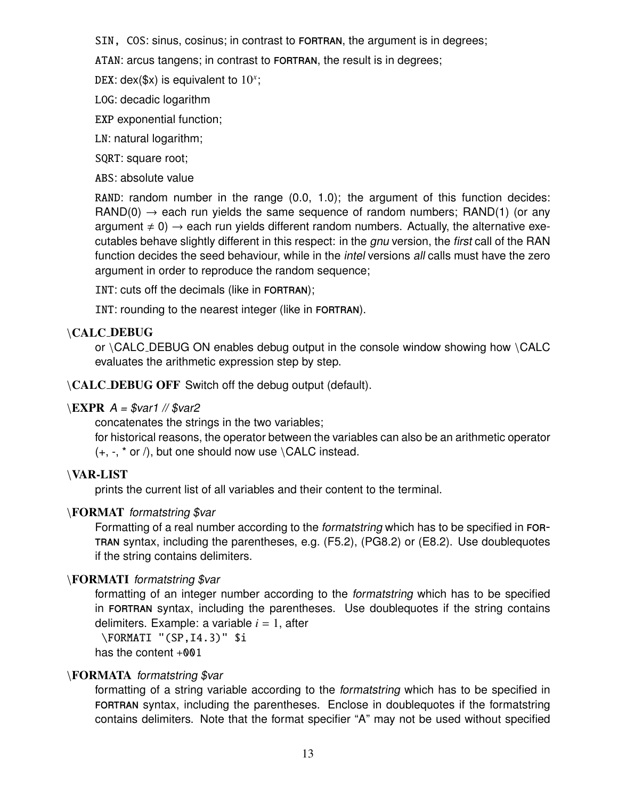<span id="page-12-0"></span>SIN, COS: sinus, cosinus; in contrast to FORTRAN, the argument is in degrees;

ATAN: arcus tangens; in contrast to FORTRAN, the result is in degrees;

DEX: dex(\$x) is equivalent to  $10^x$ ;

LOG: decadic logarithm

EXP exponential function;

LN: natural logarithm;

SQRT: square root;

ABS: absolute value

RAND: random number in the range (0.0, 1.0); the argument of this function decides:  $\text{RAND}(0) \rightarrow$  each run yields the same sequence of random numbers;  $\text{RAND}(1)$  (or any argument  $\neq 0$ )  $\rightarrow$  each run yields different random numbers. Actually, the alternative executables behave slightly different in this respect: in the *gnu* version, the first call of the RAN function decides the seed behaviour, while in the *intel* versions all calls must have the zero argument in order to reproduce the random sequence;

INT: cuts off the decimals (like in FORTRAN);

INT: rounding to the nearest integer (like in FORTRAN).

## \CALC DEBUG

or \CALC\_DEBUG ON enables debug output in the console window showing how \CALC evaluates the arithmetic expression step by step.

\CALC DEBUG OFF Switch off the debug output (default).

#### $\E{XPR}$  A = \$var1 // \$var2

concatenates the strings in the two variables;

for historical reasons, the operator between the variables can also be an arithmetic operator  $(+, -, * or /),$  but one should now use  $\angle$ CALC instead.

## \VAR-LIST

prints the current list of all variables and their content to the terminal.

## \FORMAT formatstring \$var

Formatting of a real number according to the formatstring which has to be specified in fortran syntax, including the parentheses, e.g. (F5.2), (PG8.2) or (E8.2). Use doublequotes if the string contains delimiters.

## \FORMATI formatstring \$var

formatting of an integer number according to the formatstring which has to be specified in FORTRAN syntax, including the parentheses. Use doublequotes if the string contains delimiters. Example: a variable *i* = 1, after

\FORMATI "(SP,I4.3)" \$i has the content +001

## \FORMATA formatstring \$var

formatting of a string variable according to the formatstring which has to be specified in FORTRAN syntax, including the parentheses. Enclose in doublequotes if the formatstring contains delimiters. Note that the format specifier "A" may not be used without specified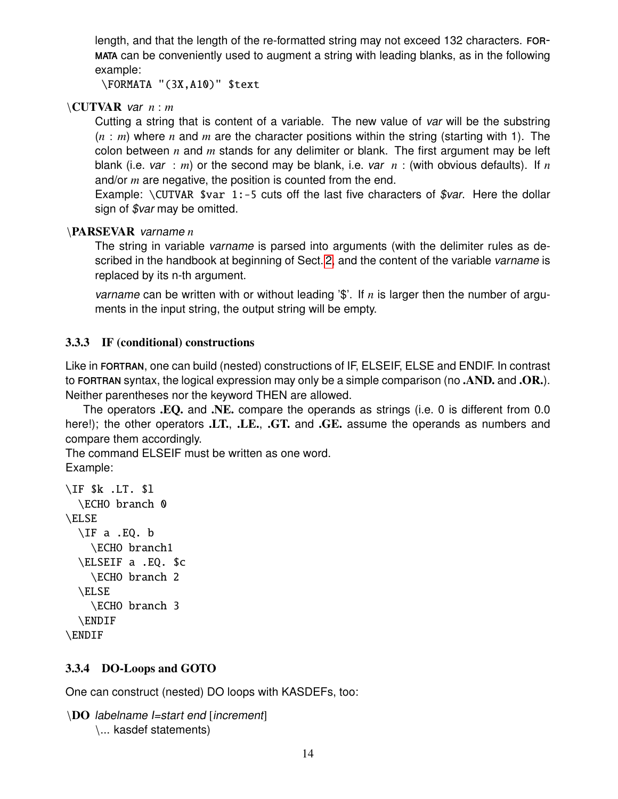<span id="page-13-2"></span>length, and that the length of the re-formatted string may not exceed 132 characters. formata can be conveniently used to augment a string with leading blanks, as in the following example:

\FORMATA "(3X,A10)" \$text

### \CUTVAR var *n* : *m*

Cutting a string that is content of a variable. The new value of var will be the substring (*n* : *m*) where *n* and *m* are the character positions within the string (starting with 1). The colon between *n* and *m* stands for any delimiter or blank. The first argument may be left blank (i.e. var : *m*) or the second may be blank, i.e. var *n* : (with obvious defaults). If *n* and/or *m* are negative, the position is counted from the end.

Example: \CUTVAR \$var 1:-5 cuts off the last five characters of \$var. Here the dollar sign of  $\sqrt{\frac{3}{2}}$  may be omitted.

#### \PARSEVAR varname *n*

The string in variable varname is parsed into arguments (with the delimiter rules as de-scribed in the handbook at beginning of Sect. [2,](#page-5-0) and the content of the variable varname is replaced by its n-th argument.

varname can be written with or without leading '\$'. If *n* is larger then the number of arguments in the input string, the output string will be empty.

## <span id="page-13-0"></span>3.3.3 IF (conditional) constructions

Like in FORTRAN, one can build (nested) constructions of IF, ELSEIF, ELSE and ENDIF. In contrast to FORTRAN syntax, the logical expression may only be a simple comparison (no .AND. and .OR.). Neither parentheses nor the keyword THEN are allowed.

The operators .EQ. and .NE. compare the operands as strings (i.e. 0 is different from 0.0 here!); the other operators .LT., .LE., .GT. and .GE. assume the operands as numbers and compare them accordingly.

The command ELSEIF must be written as one word.

Example:

```
\IF $k .LT. $l
 \ECHO branch 0
\ELSE
 \IF a .EQ. b
    \ECHO branch1
 \ELSEIF a .EQ. $c
    \ECHO branch 2
  \ELSE
    \ECHO branch 3
  \ENDIF
\ENDIF
```
## <span id="page-13-1"></span>3.3.4 DO-Loops and GOTO

One can construct (nested) DO loops with KASDEFs, too:

```
\DO labelname I=start end [increment]
     \... kasdef statements)
```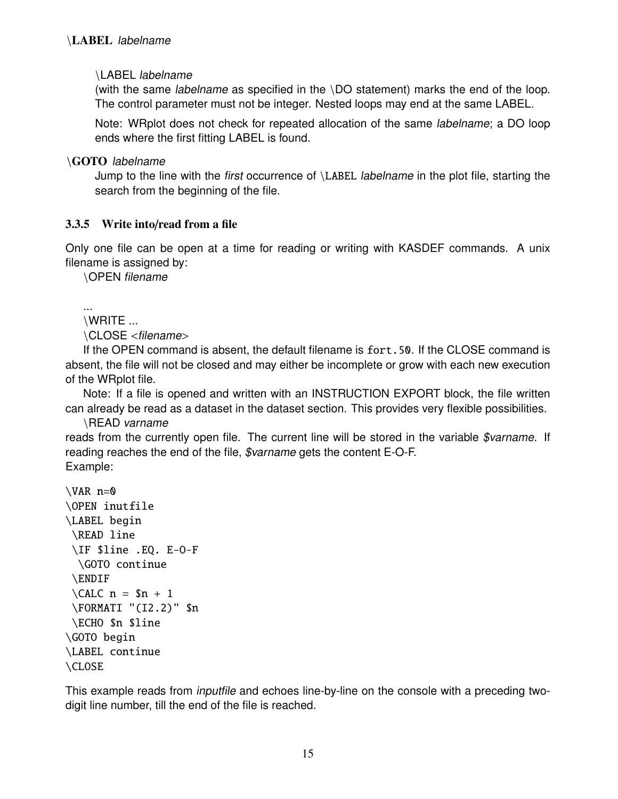#### <span id="page-14-1"></span>\LABEL labelname

(with the same labelname as specified in the \DO statement) marks the end of the loop. The control parameter must not be integer. Nested loops may end at the same LABEL.

Note: WRplot does not check for repeated allocation of the same labelname; a DO loop ends where the first fitting LABEL is found.

\GOTO labelname

Jump to the line with the first occurrence of \LABEL labelname in the plot file, starting the search from the beginning of the file.

## <span id="page-14-0"></span>3.3.5 Write into/read from a file

Only one file can be open at a time for reading or writing with KASDEF commands. A unix filename is assigned by:

\OPEN filename

...

```
\WRITE ...
```
\CLOSE <filename>

If the OPEN command is absent, the default filename is fort.50. If the CLOSE command is absent, the file will not be closed and may either be incomplete or grow with each new execution of the WRplot file.

Note: If a file is opened and written with an INSTRUCTION EXPORT block, the file written can already be read as a dataset in the dataset section. This provides very flexible possibilities.

\READ varname

reads from the currently open file. The current line will be stored in the variable \$varname. If reading reaches the end of the file, \$varname gets the content E-O-F. Example:

```
\forallAR n=0
\OPEN inutfile
\LABEL begin
\READ line
\IF $line .EQ. E-O-F
 \GOTO continue
 \ENDIF
 \LambdaCALC n = $n + 1\FORMATI "(I2.2)" $n
 \ECHO $n $line
\GOTO begin
\LABEL continue
\CLOSE
```
This example reads from inputfile and echoes line-by-line on the console with a preceding twodigit line number, till the end of the file is reached.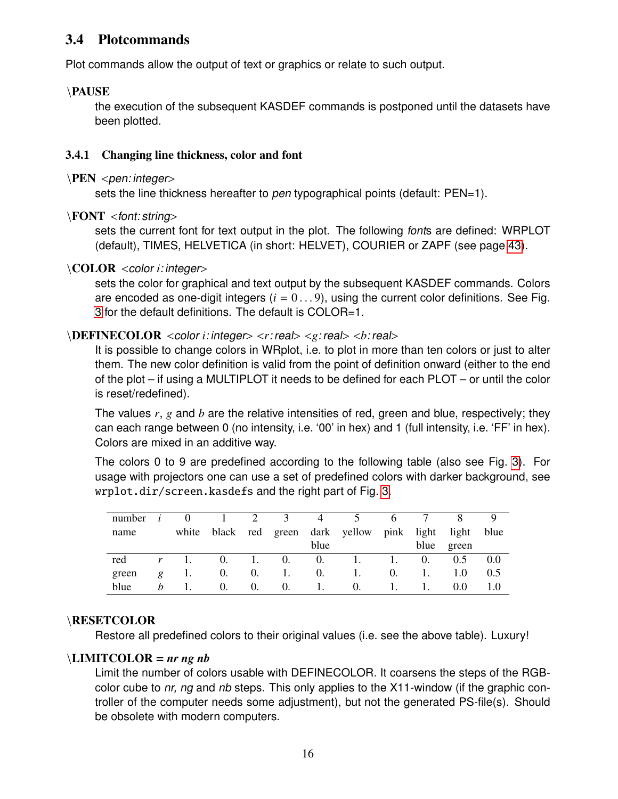## <span id="page-15-2"></span><span id="page-15-0"></span>3.4 Plotcommands

Plot commands allow the output of text or graphics or relate to such output.

## \PAUSE

the execution of the subsequent KASDEF commands is postponed until the datasets have been plotted.

## <span id="page-15-1"></span>3.4.1 Changing line thickness, color and font

#### $\PEN$  <pen: integer>

sets the line thickness hereafter to pen typographical points (default: PEN=1).

## \FONT <font: string>

sets the current font for text output in the plot. The following fonts are defined: WRPLOT (default), TIMES, HELVETICA (in short: HELVET), COURIER or ZAPF (see page [43\)](#page-42-1).

## \COLOR <color *<sup>i</sup>*: integer>

sets the color for graphical and text output by the subsequent KASDEF commands. Colors are encoded as one-digit integers  $(i = 0...9)$ , using the current color definitions. See Fig. [3](#page-43-1) for the default definitions. The default is COLOR=1.

## \DEFINECOLOR <color *<sup>i</sup>*: integer> <*r*: real> <*g*: real> <*b*: real>

It is possible to change colors in WRplot, i.e. to plot in more than ten colors or just to alter them. The new color definition is valid from the point of definition onward (either to the end of the plot – if using a MULTIPLOT it needs to be defined for each PLOT – or until the color is reset/redefined).

The values *r*, *g* and *b* are the relative intensities of red, green and blue, respectively; they can each range between 0 (no intensity, i.e. '00' in hex) and 1 (full intensity, i.e. 'FF' in hex). Colors are mixed in an additive way.

The colors 0 to 9 are predefined according to the following table (also see Fig. [3\)](#page-43-1). For usage with projectors one can use a set of predefined colors with darker background, see wrplot.dir/screen.kasdefs and the right part of Fig. [3.](#page-43-1)

| number |   |       |    | 2          | 3               | 4          |             | O          |       |       |      |
|--------|---|-------|----|------------|-----------------|------------|-------------|------------|-------|-------|------|
| name   |   | white |    |            | black red green |            | dark yellow | pink       | light | light | blue |
|        |   |       |    |            |                 | blue       |             |            | blue  | green |      |
| red    |   |       | O. |            | $\theta$ .      | $\theta$ . |             |            | 0.    | 0.5   | 0.0  |
| green  | g |       | O. | $\theta$ . |                 | 0.         |             | $\theta$ . |       | 1.0   | 0.5  |
| blue   | h |       | 0. | $\theta$ . | 0.              |            | U.          |            |       | 0.0   | 1.0  |

## \RESETCOLOR

Restore all predefined colors to their original values (i.e. see the above table). Luxury!

## \LIMITCOLOR = *nr ng nb*

Limit the number of colors usable with DEFINECOLOR. It coarsens the steps of the RGBcolor cube to nr, ng and nb steps. This only applies to the X11-window (if the graphic controller of the computer needs some adjustment), but not the generated PS-file(s). Should be obsolete with modern computers.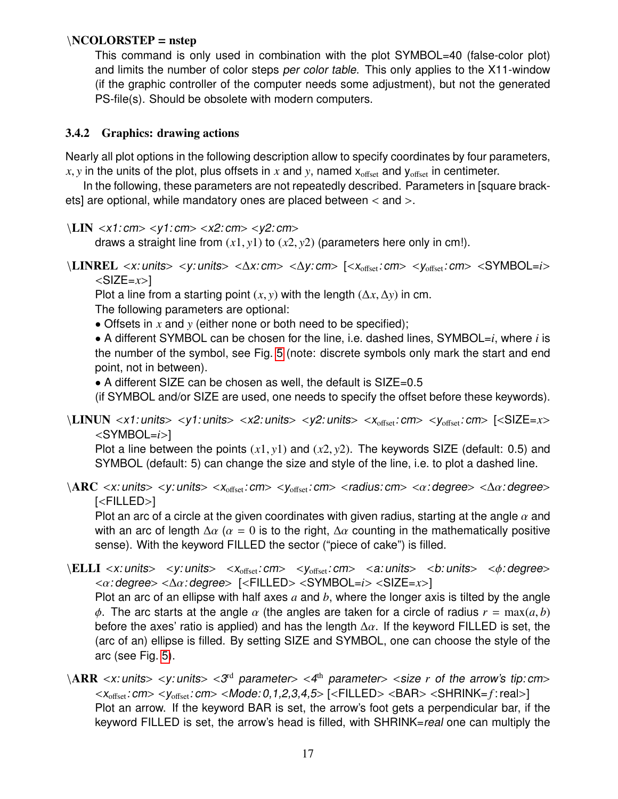#### <span id="page-16-1"></span>\NCOLORSTEP = nstep

This command is only used in combination with the plot SYMBOL=40 (false-color plot) and limits the number of color steps per color table. This only applies to the X11-window (if the graphic controller of the computer needs some adjustment), but not the generated PS-file(s). Should be obsolete with modern computers.

#### <span id="page-16-0"></span>3.4.2 Graphics: drawing actions

Nearly all plot options in the following description allow to specify coordinates by four parameters,  $x, y$  in the units of the plot, plus offsets in x and y, named  $x_{\text{offset}}$  and  $y_{\text{offset}}$  in centimeter.

In the following, these parameters are not repeatedly described. Parameters in [square brackets] are optional, while mandatory ones are placed between < and >.

```
\LLIN < x1: cm> < y1: cm> < x2: cm> < y2: cm>
```
draws a straight line from (*x*1, *<sup>y</sup>*1) to (*x*2, *<sup>y</sup>*2) (parameters here only in cm!).

```
\LINREL <x: units> <y: units> <∆x: cm> <∆y: cm> [<xoffset: cm> <yoffset: cm> <SYMBOL=i>
```
 $\langle$ SIZE= $x$ >]

Plot a line from a starting point  $(x, y)$  with the length  $(\Delta x, \Delta y)$  in cm.

The following parameters are optional:

• Offsets in *x* and *y* (either none or both need to be specified);

• A different SYMBOL can be chosen for the line, i.e. dashed lines, SYMBOL=*i*, where *i* is the number of the symbol, see Fig. [5](#page-46-0) (note: discrete symbols only mark the start and end point, not in between).

• A different SIZE can be chosen as well, the default is SIZE=0.5

(if SYMBOL and/or SIZE are used, one needs to specify the offset before these keywords).

\LINUN <x1: units> <y1: units> <x2: units> <y2: units> <xoffset: cm> <yoffset: cm> [<SIZE=*x*> <SYMBOL=*i*>]

Plot a line between the points (*x*1, *<sup>y</sup>*1) and (*x*2, *<sup>y</sup>*2). The keywords SIZE (default: 0.5) and SYMBOL (default: 5) can change the size and style of the line, i.e. to plot a dashed line.

#### $\langle \text{ARC} \prec x$ : units>  $\langle y$ : units>  $\langle x_{\text{offset}} : \text{cm} \rangle$   $\langle y_{\text{offset}} : \text{cm} \rangle$   $\langle x \rangle$  and  $\langle x : \text{degree} \rangle$   $\langle \text{A} x : \text{degree} \rangle$ [<FILLED>]

Plot an arc of a circle at the given coordinates with given radius, starting at the angle  $\alpha$  and with an arc of length  $\Delta \alpha$  ( $\alpha = 0$  is to the right,  $\Delta \alpha$  counting in the mathematically positive sense). With the keyword FILLED the sector ("piece of cake") is filled.

 $\ELLI < x: units>$   $\lt; y: units>$   $\lt x_{offset}: cm>$   $\lt y_{offset}: cm>$   $\lt a: units>$   $\lt b: units>$   $\lt \phi: degree>$ <α: degree> <∆α: degree> [<FILLED> <SYMBOL=*i*> <SIZE=*x*>]

Plot an arc of an ellipse with half axes *a* and *b*, where the longer axis is tilted by the angle φ. The arc starts at the angle  $\alpha$  (the angles are taken for a circle of radius  $r = \max(a, b)$ ) before the axes' ratio is applied) and has the length  $\Delta \alpha$ . If the keyword FILLED is set, the (arc of an) ellipse is filled. By setting SIZE and SYMBOL, one can choose the style of the arc (see Fig. [5\)](#page-46-0).

 $\langle \text{ARR} \times x$ : units>  $\langle y$ : units>  $\langle 3^{rd}$  parameter>  $\langle 4^{th}$  parameter>  $\langle$  size *r* of the arrow's tip: cm><br> $\langle x \rangle$  cm>  $\langle y \rangle$  cm>  $\langle x \rangle$  cm>  $\langle x \rangle$  cm>  $\langle x \rangle$  cm>  $\langle x \rangle$  cm>  $\langle x \rangle$  cm>  $\langle x \rangle$  cm>  $\langle x \rangle$  cm  $\langle x_{\text{offset}}: \text{cm} \rangle \langle y_{\text{offset}}: \text{cm} \rangle \langle \text{Mode}: 0, 1, 2, 3, 4, 5 \rangle$   $\langle \langle \text{FILLED} \rangle \langle \text{BAR} \rangle \langle \text{SHRINK} = f : \text{real} \rangle$ Plot an arrow. If the keyword BAR is set, the arrow's foot gets a perpendicular bar, if the keyword FILLED is set, the arrow's head is filled, with SHRINK=real one can multiply the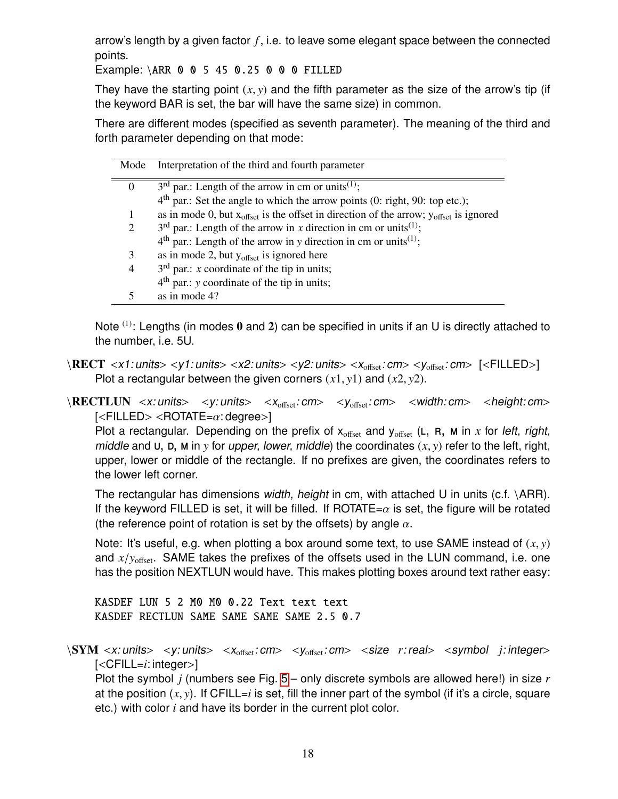<span id="page-17-0"></span>arrow's length by a given factor *f* , i.e. to leave some elegant space between the connected points.

Example: \ARR 0 0 5 45 0.25 0 0 0 FILLED

They have the starting point  $(x, y)$  and the fifth parameter as the size of the arrow's tip (if the keyword BAR is set, the bar will have the same size) in common.

There are different modes (specified as seventh parameter). The meaning of the third and forth parameter depending on that mode:

| Mode     | Interpretation of the third and fourth parameter                                                |
|----------|-------------------------------------------------------------------------------------------------|
| $\theta$ | $3rd$ par.: Length of the arrow in cm or units <sup>(1)</sup> ;                                 |
|          | $4th$ par.: Set the angle to which the arrow points (0: right, 90: top etc.);                   |
|          | as in mode 0, but $x_{offset}$ is the offset in direction of the arrow; $y_{offset}$ is ignored |
| 2        | $3rd$ par.: Length of the arrow in x direction in cm or units <sup>(1)</sup> ;                  |
|          | $4th$ par.: Length of the arrow in y direction in cm or units <sup>(1)</sup> ;                  |
| 3        | as in mode 2, but $y_{offset}$ is ignored here                                                  |
| 4        | $3rd$ par.: <i>x</i> coordinate of the tip in units;                                            |
|          | $4th$ par.: y coordinate of the tip in units;                                                   |
|          | as in mode 4?                                                                                   |

Note  $(1)$ : Lengths (in modes 0 and 2) can be specified in units if an U is directly attached to the number, i.e. 5U.

 $\RECT < x1: units >$   $<$ y1: units>  $<$ x2: units>  $<$ y2: units>  $<$ x<sub>offset</sub>: cm>  $<$ y<sub>offset</sub>: cm>  $[$ <FILLED>] Plot a rectangular between the given corners  $(x1, y1)$  and  $(x2, y2)$ .

\RECTLUN <x: units> <y: units> <x<sub>offset</sub>: cm> <y<sub>offset</sub>: cm> <width: cm> <height: cm>  $\leq$ FILLED>  $\leq$ ROTATE= $\alpha$ : degree>]

Plot a rectangular. Depending on the prefix of  $x_{offset}$  and  $y_{offset}$  (L, R, M in  $x$  for left, right, middle and U, D, M in *y* for *upper, lower, middle*) the coordinates  $(x, y)$  refer to the left, right, upper, lower or middle of the rectangle. If no prefixes are given, the coordinates refers to the lower left corner.

The rectangular has dimensions width, height in cm, with attached U in units (c.f.  $\{ARR\}$ ). If the keyword FILLED is set, it will be filled. If ROTATE= $\alpha$  is set, the figure will be rotated (the reference point of rotation is set by the offsets) by angle  $\alpha$ .

Note: It's useful, e.g. when plotting a box around some text, to use SAME instead of (*x*, *<sup>y</sup>*) and *x*/*y*<sub>offset</sub>. SAME takes the prefixes of the offsets used in the LUN command, i.e. one has the position NEXTLUN would have. This makes plotting boxes around text rather easy:

KASDEF LUN 5 2 M0 M0 0.22 Text text text KASDEF RECTLUN SAME SAME SAME SAME 2.5 0.7

 $\text{SYM} \ll x$ : units>  $\lt y$ : units>  $\lt x_{\text{offset}}$ : cm>  $\lt y_{\text{offset}}$ : cm>  $\lt$  size *r*: real>  $\lt$  symbol *j*: integer> [<CFILL=*i*: integer>]

Plot the symbol *j* (numbers see Fig. [5](#page-46-0) – only discrete symbols are allowed here!) in size *r* at the position  $(x, y)$ . If CFILL=*i* is set, fill the inner part of the symbol (if it's a circle, square etc.) with color *i* and have its border in the current plot color.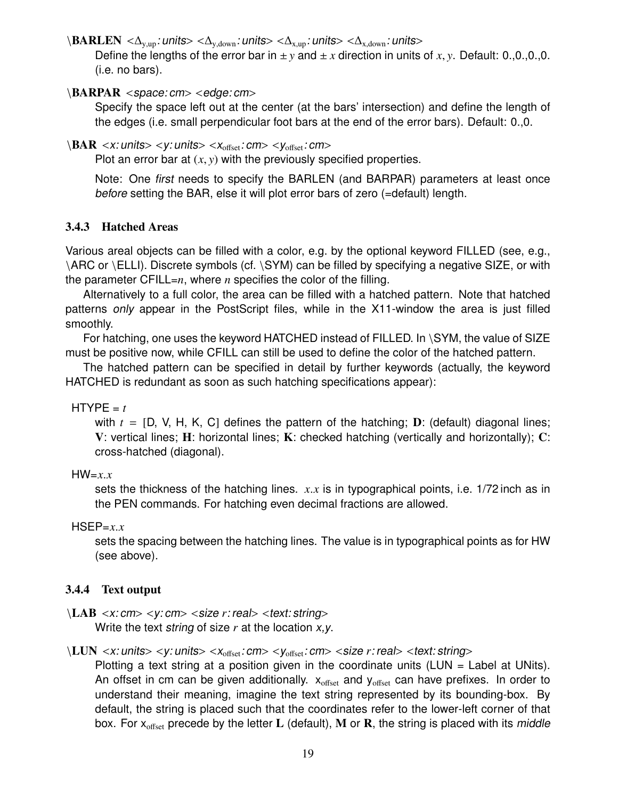<span id="page-18-2"></span> $\Bbb{A}$ RLEN < $\Delta_{v,up}$ : units> < $\Delta_{v,down}$ : units> < $\Delta_{x,up}$ : units> < $\Delta_{x,down}$ : units>

Define the lengths of the error bar in  $\pm y$  and  $\pm x$  direction in units of *x*, *y*. Default: 0.,0,,0,,0. (i.e. no bars).

#### $\Bbb{ARPAR}$  <space: cm> <edge: cm>

Specify the space left out at the center (at the bars' intersection) and define the length of the edges (i.e. small perpendicular foot bars at the end of the error bars). Default: 0.,0.

```
\Bbb{A} < x: units> < y: units> < x_{\text{offset}}: cm> < y_{\text{offset}}: cm>
```
Plot an error bar at  $(x, y)$  with the previously specified properties.

Note: One first needs to specify the BARLEN (and BARPAR) parameters at least once before setting the BAR, else it will plot error bars of zero (=default) length.

## <span id="page-18-0"></span>3.4.3 Hatched Areas

Various areal objects can be filled with a color, e.g. by the optional keyword FILLED (see, e.g., \ARC or \ELLI). Discrete symbols (cf. \SYM) can be filled by specifying a negative SIZE, or with the parameter CFILL= $n$ , where  $n$  specifies the color of the filling.

Alternatively to a full color, the area can be filled with a hatched pattern. Note that hatched patterns only appear in the PostScript files, while in the X11-window the area is just filled smoothly.

For hatching, one uses the keyword HATCHED instead of FILLED. In \SYM, the value of SIZE must be positive now, while CFILL can still be used to define the color of the hatched pattern.

The hatched pattern can be specified in detail by further keywords (actually, the keyword HATCHED is redundant as soon as such hatching specifications appear):

#### $HTYPE = t$

with  $t = [D, V, H, K, C]$  defines the pattern of the hatching; **D**: (default) diagonal lines; V: vertical lines;  $H$ : horizontal lines;  $K$ : checked hatching (vertically and horizontally);  $C$ : cross-hatched (diagonal).

#### HW=*x*.*<sup>x</sup>*

sets the thickness of the hatching lines. *<sup>x</sup>*.*<sup>x</sup>* is in typographical points, i.e. 1/72 inch as in the PEN commands. For hatching even decimal fractions are allowed.

#### $HSEP=x.x$

sets the spacing between the hatching lines. The value is in typographical points as for HW (see above).

#### <span id="page-18-1"></span>3.4.4 Text output

```
\LAB <x: cm> <y: cm> <size r: real> <text: string>
```
Write the text string of size *r* at the location x,y.

\LUN <x: units> <y: units> <x<sub>offset</sub>: cm> <y<sub>offset</sub>: cm> <size *r*: real> <text: string>

Plotting a text string at a position given in the coordinate units (LUN = Label at UNits). An offset in cm can be given additionally.  $x_{offset}$  and  $y_{offset}$  can have prefixes. In order to understand their meaning, imagine the text string represented by its bounding-box. By default, the string is placed such that the coordinates refer to the lower-left corner of that box. For  $x_{offset}$  precede by the letter L (default), M or R, the string is placed with its middle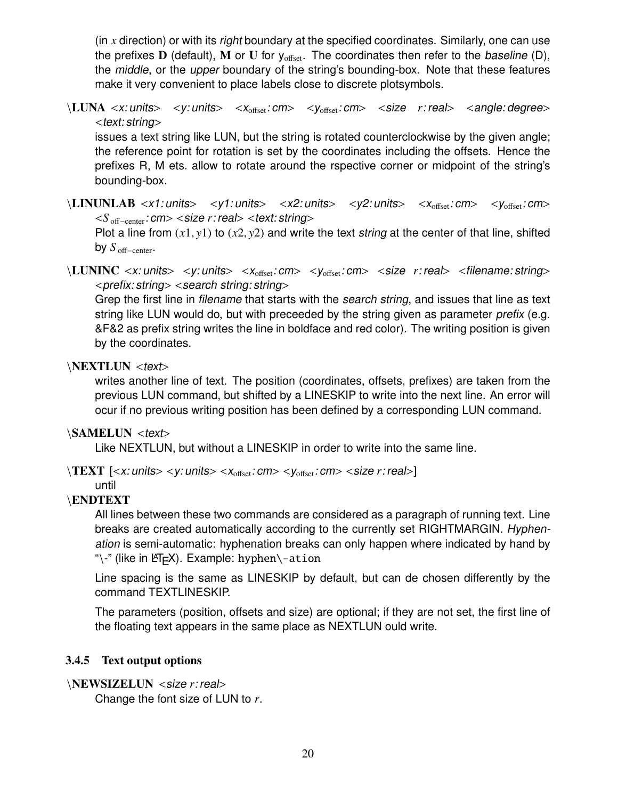<span id="page-19-1"></span>(in *x* direction) or with its right boundary at the specified coordinates. Similarly, one can use the prefixes **D** (default), **M** or **U** for  $y_{offset}$ . The coordinates then refer to the baseline (D), the middle, or the upper boundary of the string's bounding-box. Note that these features make it very convenient to place labels close to discrete plotsymbols.

\LUNA <x: units> <y: units> <x<sub>offset</sub>: cm> <y<sub>offset</sub>: cm> <size *r*: real> <angle: degree>  $<$ text: string $>$ 

issues a text string like LUN, but the string is rotated counterclockwise by the given angle; the reference point for rotation is set by the coordinates including the offsets. Hence the prefixes R, M ets. allow to rotate around the rspective corner or midpoint of the string's bounding-box.

 $\verb|\LINUNLAB| < x1: units>$  <y1: units> <x2: units> <y2: units> <x<sub>offset</sub>: cm> <y<sub>offset</sub>: cm> <*<sup>S</sup>* <sup>o</sup>ff−center: cm> <size *<sup>r</sup>*: real> <text: string>

Plot a line from  $(x1, y1)$  to  $(x2, y2)$  and write the text string at the center of that line, shifted by  $S_{\text{off–center}}$ .

\LUNINC <x: units> <y: units> <x<sub>offset</sub>: cm> <y<sub>offset</sub>: cm> <size *r*: real> <filename: string>  $\langle$  prefix: string $>$   $\langle$  search string: string $>$ 

Grep the first line in filename that starts with the search string, and issues that line as text string like LUN would do, but with preceeded by the string given as parameter *prefix* (e.g. &F&2 as prefix string writes the line in boldface and red color). The writing position is given by the coordinates.

#### \NEXTLUN <text>

writes another line of text. The position (coordinates, offsets, prefixes) are taken from the previous LUN command, but shifted by a LINESKIP to write into the next line. An error will ocur if no previous writing position has been defined by a corresponding LUN command.

#### \SAMELUN <text>

Like NEXTLUN, but without a LINESKIP in order to write into the same line.

 $\langle TEXT ~[<\mathsf{x}$ : units> <y: units> < $\mathsf{x}_{\text{offset}}$ : cm> < $\mathsf{y}_{\text{offset}}$ : cm> <size *r*: real>]

until

#### \ENDTEXT

All lines between these two commands are considered as a paragraph of running text. Line breaks are created automatically according to the currently set RIGHTMARGIN. Hyphenation is semi-automatic: hyphenation breaks can only happen where indicated by hand by "\-" (like in  $\langle \text{FT}_F X \rangle$ . Example: hyphen\-ation

Line spacing is the same as LINESKIP by default, but can de chosen differently by the command TEXTLINESKIP.

The parameters (position, offsets and size) are optional; if they are not set, the first line of the floating text appears in the same place as NEXTLUN ould write.

#### <span id="page-19-0"></span>3.4.5 Text output options

```
\NEWSIZELUN <size r: real>
```
Change the font size of LUN to *r*.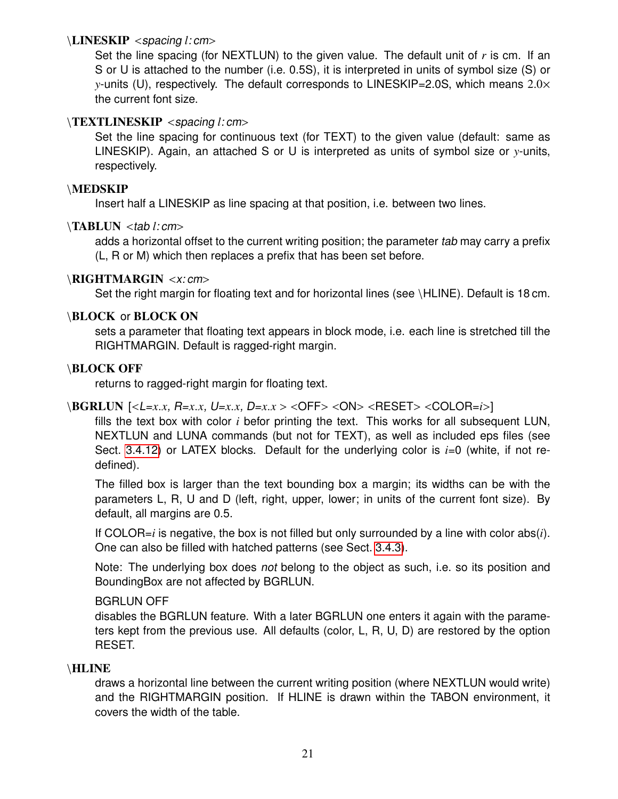## <span id="page-20-0"></span>\LINESKIP <spacing *<sup>l</sup>*: cm>

Set the line spacing (for NEXTLUN) to the given value. The default unit of *r* is cm. If an S or U is attached to the number (i.e. 0.5S), it is interpreted in units of symbol size (S) or *<sup>y</sup>*-units (U), respectively. The default corresponds to LINESKIP=2.0S, which means <sup>2</sup>.0<sup>×</sup> the current font size.

## \TEXTLINESKIP <spacing *<sup>l</sup>*: cm>

Set the line spacing for continuous text (for TEXT) to the given value (default: same as LINESKIP). Again, an attached S or U is interpreted as units of symbol size or *y*-units, respectively.

### \MEDSKIP

Insert half a LINESKIP as line spacing at that position, i.e. between two lines.

## \TABLUN <tab *<sup>l</sup>*: cm>

adds a horizontal offset to the current writing position; the parameter tab may carry a prefix (L, R or M) which then replaces a prefix that has been set before.

## \RIGHTMARGIN <x: cm>

Set the right margin for floating text and for horizontal lines (see \HLINE). Default is 18 cm.

## \BLOCK or BLOCK ON

sets a parameter that floating text appears in block mode, i.e. each line is stretched till the RIGHTMARGIN. Default is ragged-right margin.

#### \BLOCK OFF

returns to ragged-right margin for floating text.

## \BGRLUN [<L=*x*.*x*, R=*x*.*x*, U=*x*.*x*, D=*x*.*<sup>x</sup>* > <OFF> <ON> <RESET> <COLOR=*i*>]

fills the text box with color *i* befor printing the text. This works for all subsequent LUN, NEXTLUN and LUNA commands (but not for TEXT), as well as included eps files (see Sect. [3.4.12\)](#page-25-0) or LATEX blocks. Default for the underlying color is *i*=0 (white, if not redefined).

The filled box is larger than the text bounding box a margin; its widths can be with the parameters L, R, U and D (left, right, upper, lower; in units of the current font size). By default, all margins are 0.5.

If COLOR=*i* is negative, the box is not filled but only surrounded by a line with color abs(*i*). One can also be filled with hatched patterns (see Sect. [3.4.3\)](#page-18-0).

Note: The underlying box does not belong to the object as such, i.e. so its position and BoundingBox are not affected by BGRLUN.

#### BGRLUN OFF

disables the BGRLUN feature. With a later BGRLUN one enters it again with the parameters kept from the previous use. All defaults (color, L, R, U, D) are restored by the option RESET.

#### \HLINE

draws a horizontal line between the current writing position (where NEXTLUN would write) and the RIGHTMARGIN position. If HLINE is drawn within the TABON environment, it covers the width of the table.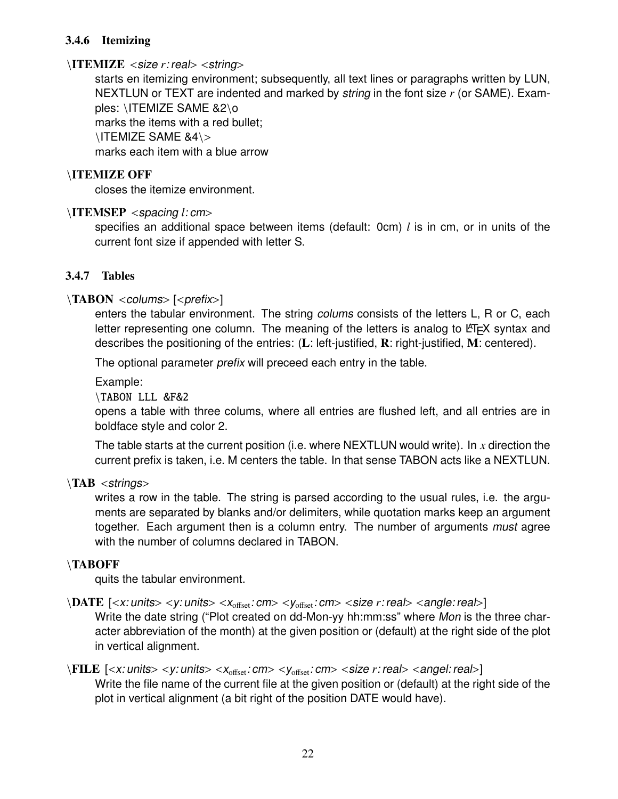### <span id="page-21-2"></span><span id="page-21-0"></span>3.4.6 Itemizing

### \ITEMIZE <size *<sup>r</sup>*: real> <string>

starts en itemizing environment; subsequently, all text lines or paragraphs written by LUN, NEXTLUN or TEXT are indented and marked by string in the font size *r* (or SAME). Examples: \ITEMIZE SAME &2\o marks the items with a red bullet; \ITEMIZE SAME &4\> marks each item with a blue arrow

## \ITEMIZE OFF

closes the itemize environment.

## \ITEMSEP <spacing *<sup>l</sup>*: cm>

specifies an additional space between items (default: 0cm) *l* is in cm, or in units of the current font size if appended with letter S.

## <span id="page-21-1"></span>3.4.7 Tables

## $\langle$ TABON <colums> [<prefix>]

enters the tabular environment. The string colums consists of the letters L, R or C, each letter representing one column. The meaning of the letters is analog to  $ETF X$  syntax and describes the positioning of the entries:  $(L:$  left-justified,  $R:$  right-justified,  $M:$  centered).

The optional parameter prefix will preceed each entry in the table.

Example:

\TABON LLL &F&2

opens a table with three colums, where all entries are flushed left, and all entries are in boldface style and color 2.

The table starts at the current position (i.e. where NEXTLUN would write). In *x* direction the current prefix is taken, i.e. M centers the table. In that sense TABON acts like a NEXTLUN.

 $\Delta B \leq$ strings>

writes a row in the table. The string is parsed according to the usual rules, i.e. the arguments are separated by blanks and/or delimiters, while quotation marks keep an argument together. Each argument then is a column entry. The number of arguments must agree with the number of columns declared in TABON.

#### \TABOFF

quits the tabular environment.

## $\Delta \text{ATE}$  [<x: units> <y: units> <x<sub>offset</sub>: cm> <y<sub>offset</sub>: cm> <size *r*: real> <angle: real>]

Write the date string ("Plot created on dd-Mon-yy hh:mm:ss" where Mon is the three character abbreviation of the month) at the given position or (default) at the right side of the plot in vertical alignment.

## $\FILE$  [<x: units> <y: units> <x<sub>offset</sub>: cm> <y<sub>offset</sub>: cm> <size *r*: real> <angel: real>] Write the file name of the current file at the given position or (default) at the right side of the plot in vertical alignment (a bit right of the position DATE would have).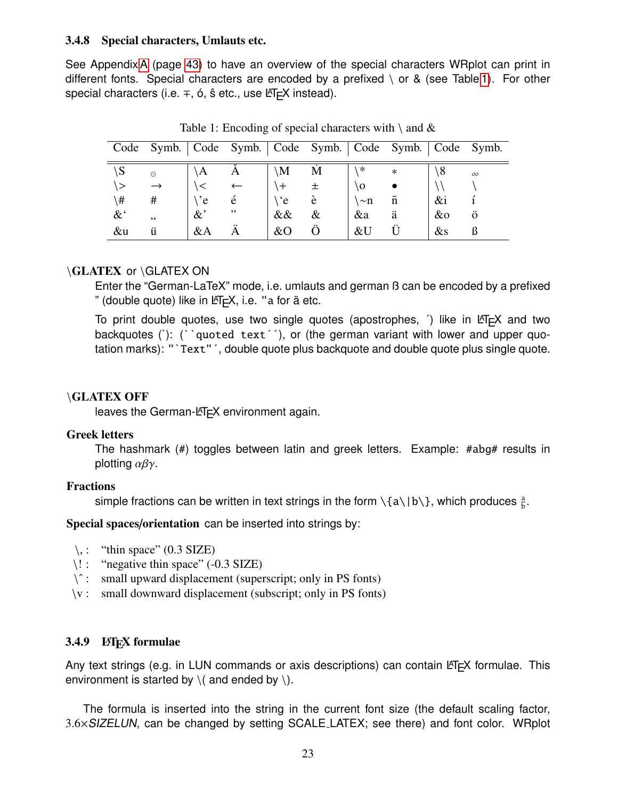#### <span id="page-22-3"></span><span id="page-22-0"></span>3.4.8 Special characters, Umlauts etc.

See Appendix [A](#page-42-0) (page [43\)](#page-42-0) to have an overview of the special characters WRplot can print in different fonts. Special characters are encoded by a prefixed  $\setminus$  or & (see Table [1\)](#page-22-2). For other special characters (i.e. ∓, ó, ŝ etc., use LEFEX instead).

|               |               |               | Code Symb.   Code Symb.   Code Symb.   Code Symb.   Code Symb. |               |   |          |        |        |          |
|---------------|---------------|---------------|----------------------------------------------------------------|---------------|---|----------|--------|--------|----------|
| $\setminus S$ | $\odot$       | $\setminus A$ |                                                                | $\setminus M$ | М | ∗        | $\ast$ |        | $\infty$ |
| い             | $\rightarrow$ |               |                                                                |               |   | ١O       |        |        |          |
| \#            | #             | $\cdot$ 'e    | e                                                              | `e            | e | $\sim$ n | ñ      | $\&i$  |          |
| $\&^{\cdot}$  | 66            | $\&$          | , ,                                                            | $\&\&$        | & | &a       | ä      | $\&$ o | $\Omega$ |
| &u            | ü             | $&\mathbf{A}$ | А                                                              | &O            |   | &U       |        | $\&$ s |          |

<span id="page-22-2"></span>Table 1: Encoding of special characters with  $\setminus$  and  $\&$ 

## \GLATEX or \GLATEX ON

Enter the "German-LaTeX" mode, i.e. umlauts and german ß can be encoded by a prefixed " (double quote) like in  $\text{ETr}X$ , i.e. "a for  $\ddot{a}$  etc.

To print double quotes, use two single quotes (apostrophes,  $\hat{ }$ ) like in  $EFT$  and two backquotes ('): (''quoted text''), or (the german variant with lower and upper quotation marks): "`Text"´, double quote plus backquote and double quote plus single quote.

#### \GLATEX OFF

leaves the German-LAT<sub>EX</sub> environment again.

#### Greek letters

The hashmark (#) toggles between latin and greek letters. Example: #abg# results in plotting  $\alpha\beta\gamma$ .

#### Fractions

simple fractions can be written in text strings in the form  $\setminus \{a \setminus |b \setminus \}$ , which produces  $\frac{a}{b}$ .

Special spaces/orientation can be inserted into strings by:

- $\langle$ , : "thin space" (0.3 SIZE)
- \! : "negative thin space" (-0.3 SIZE)
- $\hat{\ }$ : small upward displacement (superscript; only in PS fonts)
- \v : small downward displacement (subscript; only in PS fonts)

#### <span id="page-22-1"></span>3.4.9 **LATEX** formulae

Any text strings (e.g. in LUN commands or axis descriptions) can contain  $\mathbb{E}T$ <sub>F</sub>X formulae. This environment is started by  $\setminus$  and ended by  $\setminus$ ).

The formula is inserted into the string in the current font size (the default scaling factor, <sup>3</sup>.6×SIZELUN, can be changed by setting SCALE LATEX; see there) and font color. WRplot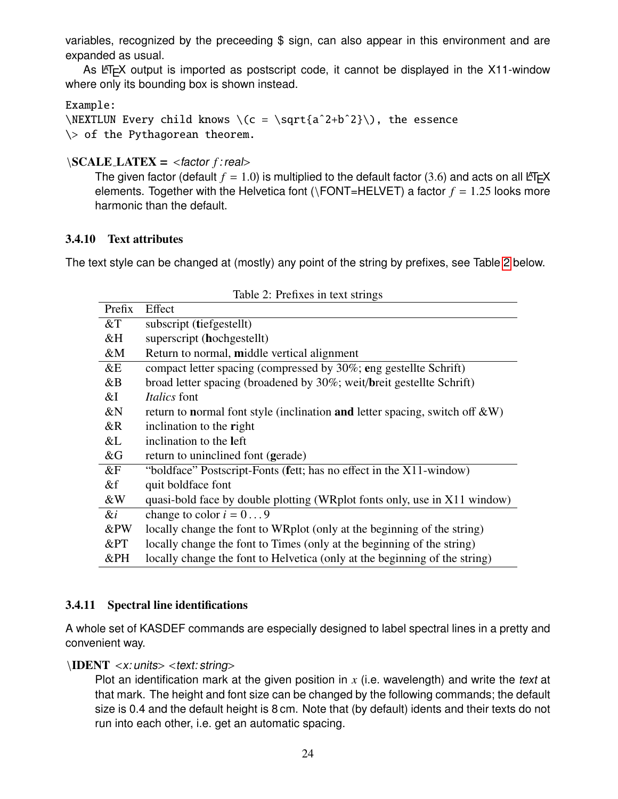<span id="page-23-3"></span>variables, recognized by the preceeding \$ sign, can also appear in this environment and are expanded as usual.

As LATEX output is imported as postscript code, it cannot be displayed in the X11-window where only its bounding box is shown instead.

### Example:

\NEXTLUN Every child knows \(c = \sqrt{a^2+b^2}\), the essence \> of the Pythagorean theorem.

## \SCALE LATEX <sup>=</sup> <factor *<sup>f</sup>* : real>

The given factor (default  $f = 1.0$ ) is multiplied to the default factor (3.6) and acts on all LATEX elements. Together with the Helvetica font ( $\Gamma$ ONT=HELVET) a factor  $f = 1.25$  looks more harmonic than the default.

## <span id="page-23-0"></span>3.4.10 Text attributes

The text style can be changed at (mostly) any point of the string by prefixes, see Table [2](#page-23-2) below.

| Prefix | Effect                                                                         |
|--------|--------------------------------------------------------------------------------|
| $&$ T  | subscript (tiefgestellt)                                                       |
| &H     | superscript (hochgestellt)                                                     |
| &M     | Return to normal, middle vertical alignment                                    |
| &E     | compact letter spacing (compressed by 30%; eng gestellte Schrift)              |
| &B     | broad letter spacing (broadened by 30%; weit/breit gestellte Schrift)          |
| &I     | <i>Italics</i> font                                                            |
| &N     | return to normal font style (inclination and letter spacing, switch off $&W$ ) |
| &R     | inclination to the right                                                       |
| &L     | inclination to the left                                                        |
| &G     | return to uninclined font (gerade)                                             |
| $\&F$  | "boldface" Postscript-Fonts (fett; has no effect in the X11-window)            |
| &f     | quit boldface font                                                             |
| &W     | quasi-bold face by double plotting (WRplot fonts only, use in X11 window)      |
| &i     | change to color $i = 09$                                                       |
| &PW    | locally change the font to WRplot (only at the beginning of the string)        |
| &PT    | locally change the font to Times (only at the beginning of the string)         |
| &PH    | locally change the font to Helvetica (only at the beginning of the string)     |
|        |                                                                                |

<span id="page-23-2"></span>Table 2: Prefixes in text strings

## <span id="page-23-1"></span>3.4.11 Spectral line identifications

A whole set of KASDEF commands are especially designed to label spectral lines in a pretty and convenient way.

## $\IDRNT < x$ : units  $>$  <text: string>

Plot an identification mark at the given position in *x* (i.e. wavelength) and write the text at that mark. The height and font size can be changed by the following commands; the default size is 0.4 and the default height is 8 cm. Note that (by default) idents and their texts do not run into each other, i.e. get an automatic spacing.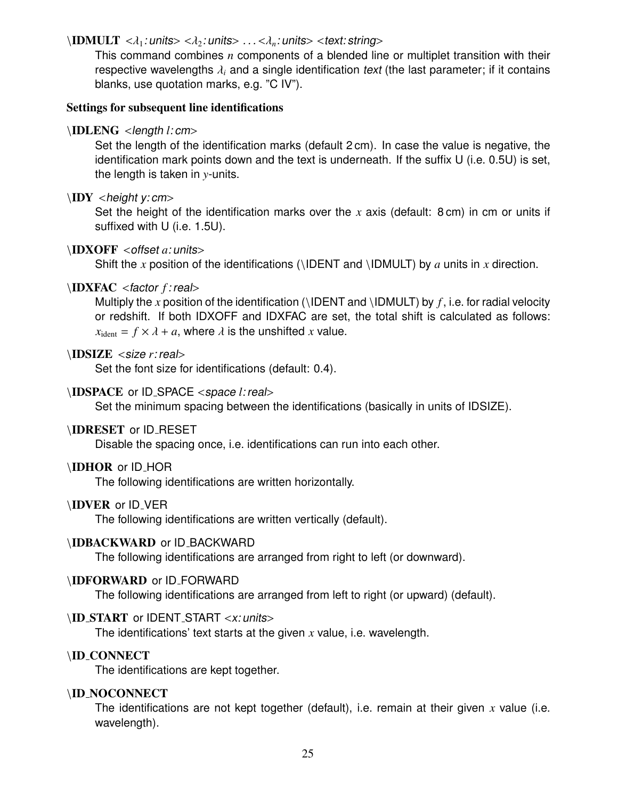#### $\Ipsilon$  \IDMULT < $\lambda_1$ : units> < $\lambda_2$ : units> ... < $\lambda_n$ : units> <text: string>

This command combines *n* components of a blended line or multiplet transition with their respective wavelengths  $\lambda_i$  and a single identification text (the last parameter; if it contains blanks, use quotation marks, e.g. "C IV").

#### Settings for subsequent line identifications

#### \IDLENG <length *<sup>l</sup>*: cm>

Set the length of the identification marks (default 2 cm). In case the value is negative, the identification mark points down and the text is underneath. If the suffix U (i.e. 0.5U) is set, the length is taken in *y*-units.

#### $\IDY$  <height y: cm>

Set the height of the identification marks over the *x* axis (default: 8 cm) in cm or units if suffixed with U (i.e. 1.5U).

#### \IDXOFF <offset *<sup>a</sup>*: units>

Shift the *x* position of the identifications (\IDENT and \IDMULT) by *a* units in *x* direction.

#### \IDXFAC <factor *<sup>f</sup>* : real>

Multiply the x position of the identification (\IDENT and \IDMULT) by  $f$ , i.e. for radial velocity or redshift. If both IDXOFF and IDXFAC are set, the total shift is calculated as follows:  $x_{\text{ident}} = f \times \lambda + a$ , where  $\lambda$  is the unshifted *x* value.

#### \IDSIZE <size *<sup>r</sup>*: real>

Set the font size for identifications (default: 0.4).

#### \IDSPACE or ID SPACE <space *<sup>l</sup>*: real>

Set the minimum spacing between the identifications (basically in units of IDSIZE).

#### \IDRESET or ID\_RESET

Disable the spacing once, i.e. identifications can run into each other.

#### \IDHOR or ID HOR

The following identifications are written horizontally.

#### \IDVER or ID\_VER

The following identifications are written vertically (default).

#### \IDBACKWARD or ID BACKWARD

The following identifications are arranged from right to left (or downward).

#### \IDFORWARD or ID FORWARD

The following identifications are arranged from left to right (or upward) (default).

#### \ID\_START or IDENT\_START <x: units>

The identifications' text starts at the given *x* value, i.e. wavelength.

#### \ID CONNECT

The identifications are kept together.

#### \ID NOCONNECT

The identifications are not kept together (default), i.e. remain at their given *x* value (i.e. wavelength).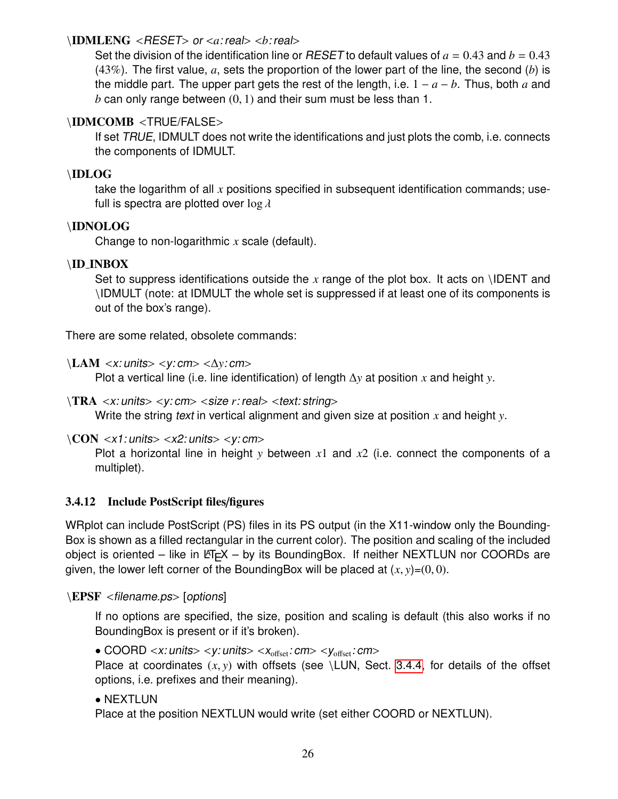#### <span id="page-25-1"></span>\IDMLENG <RESET> or <*a*: real> <*b*: real>

Set the division of the identification line or RESET to default values of  $a = 0.43$  and  $b = 0.43$ (43%). The first value, *a*, sets the proportion of the lower part of the line, the second (*b*) is the middle part. The upper part gets the rest of the length, i.e.  $1 - a - b$ . Thus, both *a* and  $b$  can only range between  $(0, 1)$  and their sum must be less than 1.

## \IDMCOMB <TRUE/FALSE>

If set TRUE, IDMULT does not write the identifications and just plots the comb, i.e. connects the components of IDMULT.

## \IDLOG

take the logarithm of all *x* positions specified in subsequent identification commands; usefull is spectra are plotted over  $\log \lambda$ 

## \IDNOLOG

Change to non-logarithmic *x* scale (default).

## \ID INBOX

Set to suppress identifications outside the *x* range of the plot box. It acts on \IDENT and \IDMULT (note: at IDMULT the whole set is suppressed if at least one of its components is out of the box's range).

There are some related, obsolete commands:

\LAM <x: units> <y: cm> <∆*y*: cm>

Plot a vertical line (i.e. line identification) of length ∆*y* at position *x* and height *y*.

#### \TRA <x: units> <y: cm> <size *<sup>r</sup>*: real> <text: string>

Write the string text in vertical alignment and given size at position *x* and height *y*.

 $\CON < x1$ : units $> : units $> : cm $>$$$ 

Plot a horizontal line in height *y* between *x*1 and *x*2 (i.e. connect the components of a multiplet).

#### <span id="page-25-0"></span>3.4.12 Include PostScript files/figures

WRplot can include PostScript (PS) files in its PS output (in the X11-window only the Bounding-Box is shown as a filled rectangular in the current color). The position and scaling of the included object is oriented – like in  $\mathbb{E}T$ =X – by its BoundingBox. If neither NEXTLUN nor COORDs are given, the lower left corner of the BoundingBox will be placed at  $(x, y)=(0, 0)$ .

\EPSF <filename.ps> [options]

If no options are specified, the size, position and scaling is default (this also works if no BoundingBox is present or if it's broken).

• COORD  $\langle x$ : units $\rangle \langle y$ : units $\rangle \langle x_{\text{offset}}$ : cm $\rangle \langle y_{\text{offset}}$ : cm $\rangle$ 

Place at coordinates  $(x, y)$  with offsets (see \LUN, Sect. [3.4.4,](#page-18-1) for details of the offset options, i.e. prefixes and their meaning).

• NEXTLUN

Place at the position NEXTLUN would write (set either COORD or NEXTLUN).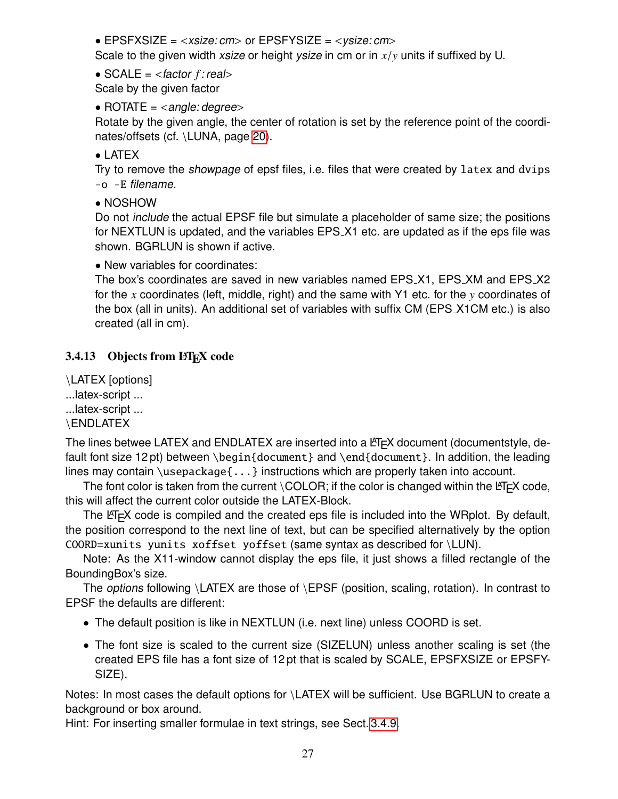<span id="page-26-1"></span>• EPSFXSIZE =  $<$ xsize: cm> or EPSFYSIZE =  $<$ ysize: cm>

Scale to the given width xsize or height ysize in cm or in *<sup>x</sup>*/*<sup>y</sup>* units if suffixed by U.

•  $SCALE =$ 

Scale by the given factor

• ROTATE  $=$  <angle: degree>

Rotate by the given angle, the center of rotation is set by the reference point of the coordinates/offsets (cf. \LUNA, page [20\)](#page-18-1).

• LATEX

Try to remove the showpage of epsf files, i.e. files that were created by latex and dvips -o -E filename.

• NOSHOW

Do not include the actual EPSF file but simulate a placeholder of same size; the positions for NEXTLUN is updated, and the variables EPS\_X1 etc. are updated as if the eps file was shown. BGRLUN is shown if active.

• New variables for coordinates:

The box's coordinates are saved in new variables named EPS X1, EPS XM and EPS X2 for the *x* coordinates (left, middle, right) and the same with Y1 etc. for the *y* coordinates of the box (all in units). An additional set of variables with suffix CM (EPS X1CM etc.) is also created (all in cm).

## <span id="page-26-0"></span>3.4.13 Objects from LATEX code

\LATEX [options]

...latex-script ...

...latex-script ...

\ENDLATEX

The lines betwee LATEX and ENDLATEX are inserted into a  $\mathbb{E}T_FX$  document (documentstyle, default font size 12 pt) between \begin{document} and \end{document}. In addition, the leading lines may contain  $\usepackage{\ldots}$  instructions which are properly taken into account.

The font color is taken from the current  $\setminus$  COLOR; if the color is changed within the L<sup>AT</sup>EX code, this will affect the current color outside the LATEX-Block.

The  $\text{L}T$ <sub>F</sub>X code is compiled and the created eps file is included into the WRplot. By default, the position correspond to the next line of text, but can be specified alternatively by the option COORD=xunits yunits xoffset yoffset (same syntax as described for \LUN).

Note: As the X11-window cannot display the eps file, it just shows a filled rectangle of the BoundingBox's size.

The *options* following  $\L{ATEX}$  are those of  $\E{PSF}$  (position, scaling, rotation). In contrast to EPSF the defaults are different:

- The default position is like in NEXTLUN (i.e. next line) unless COORD is set.
- The font size is scaled to the current size (SIZELUN) unless another scaling is set (the created EPS file has a font size of 12 pt that is scaled by SCALE, EPSFXSIZE or EPSFY-SIZE).

Notes: In most cases the default options for \LATEX will be sufficient. Use BGRLUN to create a background or box around.

Hint: For inserting smaller formulae in text strings, see Sect. [3.4.9.](#page-22-1)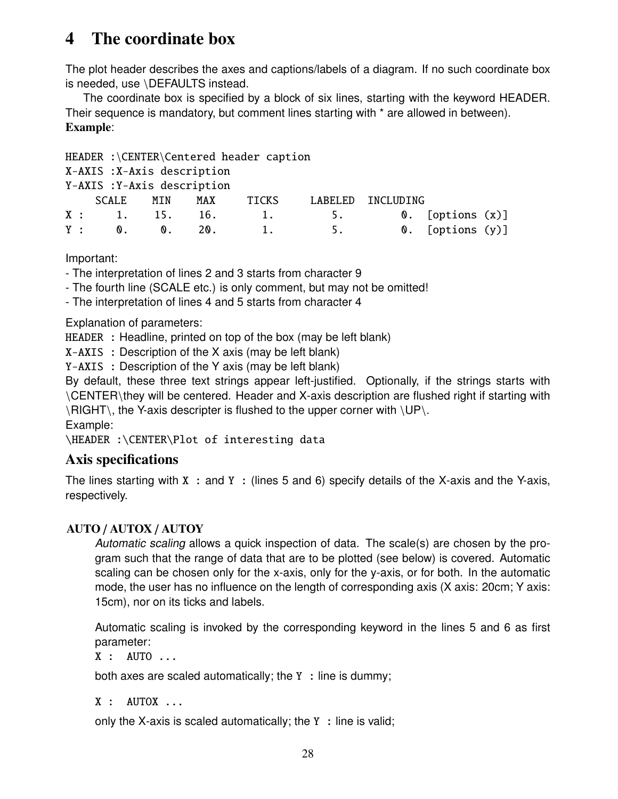## <span id="page-27-1"></span><span id="page-27-0"></span>4 The coordinate box

The plot header describes the axes and captions/labels of a diagram. If no such coordinate box is needed, use \DEFAULTS instead.

The coordinate box is specified by a block of six lines, starting with the keyword HEADER. Their sequence is mandatory, but comment lines starting with \* are allowed in between). Example:

| HEADER :\CENTER\Centered header caption |                            |                |     |       |         |                  |  |
|-----------------------------------------|----------------------------|----------------|-----|-------|---------|------------------|--|
| X-AXIS : X-Axis description             |                            |                |     |       |         |                  |  |
|                                         | Y-AXIS: Y-Axis description |                |     |       |         |                  |  |
|                                         | SCALE                      | MIN            | MAX | TICKS | LABELED | INCLUDING        |  |
|                                         | X: 1. 15. 16.              |                |     | 1.    |         | 0. [options (x)] |  |
|                                         | $Y$ :<br>$\mathbf 0$ .     | $\mathbf{0}$ . | 20. |       | 5.      | 0. [options (y)] |  |

Important:

- The interpretation of lines 2 and 3 starts from character 9

- The fourth line (SCALE etc.) is only comment, but may not be omitted!

- The interpretation of lines 4 and 5 starts from character 4

Explanation of parameters:

HEADER : Headline, printed on top of the box (may be left blank)

X-AXIS : Description of the X axis (may be left blank)

Y-AXIS : Description of the Y axis (may be left blank)

By default, these three text strings appear left-justified. Optionally, if the strings starts with \CENTER\they will be centered. Header and X-axis description are flushed right if starting with \RIGHT\, the Y-axis descripter is flushed to the upper corner with \UP\.

Example:

\HEADER :\CENTER\Plot of interesting data

## Axis specifications

The lines starting with  $X :$  and  $Y :$  (lines 5 and 6) specify details of the X-axis and the Y-axis, respectively.

## AUTO / AUTOX / AUTOY

Automatic scaling allows a quick inspection of data. The scale(s) are chosen by the program such that the range of data that are to be plotted (see below) is covered. Automatic scaling can be chosen only for the x-axis, only for the y-axis, or for both. In the automatic mode, the user has no influence on the length of corresponding axis (X axis: 20cm; Y axis: 15cm), nor on its ticks and labels.

Automatic scaling is invoked by the corresponding keyword in the lines 5 and 6 as first parameter:

 $X$  : AUTO ...

both axes are scaled automatically; the  $Y :$  line is dummy;

 $X :$  AUTOX  $\ldots$ 

only the X-axis is scaled automatically; the  $Y :$  line is valid;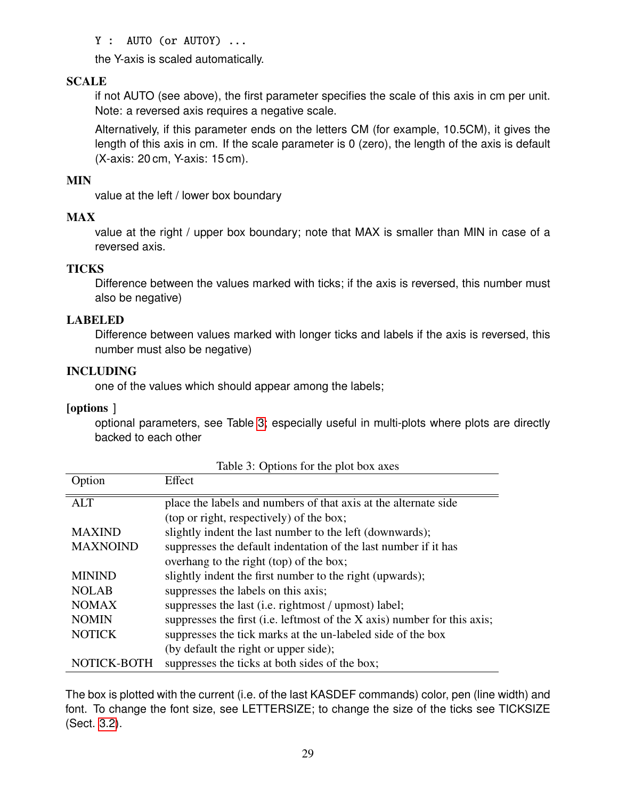#### Y : AUTO (or AUTOY) ...

the Y-axis is scaled automatically.

## SCALE

if not AUTO (see above), the first parameter specifies the scale of this axis in cm per unit. Note: a reversed axis requires a negative scale.

Alternatively, if this parameter ends on the letters CM (for example, 10.5CM), it gives the length of this axis in cm. If the scale parameter is 0 (zero), the length of the axis is default (X-axis: 20 cm, Y-axis: 15 cm).

#### MIN

value at the left / lower box boundary

#### MAX

value at the right / upper box boundary; note that MAX is smaller than MIN in case of a reversed axis.

#### **TICKS**

Difference between the values marked with ticks; if the axis is reversed, this number must also be negative)

#### LABELED

Difference between values marked with longer ticks and labels if the axis is reversed, this number must also be negative)

#### INCLUDING

one of the values which should appear among the labels;

#### [options ]

optional parameters, see Table [3;](#page-28-0) especially useful in multi-plots where plots are directly backed to each other

| Option          | Effect                                                                   |
|-----------------|--------------------------------------------------------------------------|
| <b>ALT</b>      | place the labels and numbers of that axis at the alternate side          |
|                 | (top or right, respectively) of the box;                                 |
| <b>MAXIND</b>   | slightly indent the last number to the left (downwards);                 |
| <b>MAXNOIND</b> | suppresses the default indentation of the last number if it has          |
|                 | overhang to the right (top) of the box;                                  |
| <b>MININD</b>   | slightly indent the first number to the right (upwards);                 |
| <b>NOLAB</b>    | suppresses the labels on this axis;                                      |
| <b>NOMAX</b>    | suppresses the last (i.e. rightmost / upmost) label;                     |
| <b>NOMIN</b>    | suppresses the first (i.e. leftmost of the X axis) number for this axis; |
| <b>NOTICK</b>   | suppresses the tick marks at the un-labeled side of the box              |
|                 | (by default the right or upper side);                                    |
| NOTICK-BOTH     | suppresses the ticks at both sides of the box;                           |

<span id="page-28-0"></span>Table 3: Options for the plot box axes

The box is plotted with the current (i.e. of the last KASDEF commands) color, pen (line width) and font. To change the font size, see LETTERSIZE; to change the size of the ticks see TICKSIZE (Sect. [3.2\)](#page-8-0).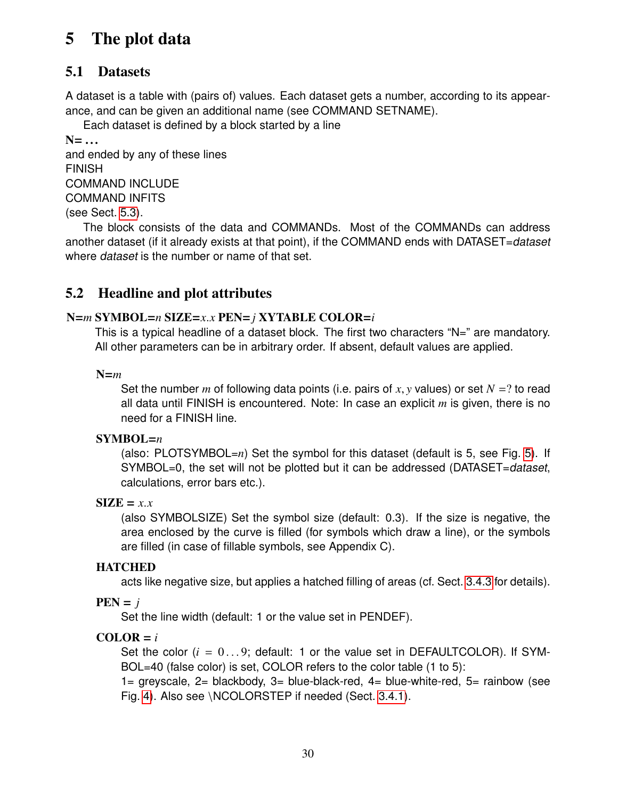# <span id="page-29-3"></span><span id="page-29-0"></span>5 The plot data

## <span id="page-29-1"></span>5.1 Datasets

A dataset is a table with (pairs of) values. Each dataset gets a number, according to its appearance, and can be given an additional name (see COMMAND SETNAME).

Each dataset is defined by a block started by a line

 $N=$  ... and ended by any of these lines FINISH COMMAND INCLUDE COMMAND INFITS (see Sect. [5.3\)](#page-30-0).

The block consists of the data and COMMANDs. Most of the COMMANDs can address another dataset (if it already exists at that point), if the COMMAND ends with DATASET=dataset where dataset is the number or name of that set.

## <span id="page-29-2"></span>5.2 Headline and plot attributes

## <sup>N</sup>=*<sup>m</sup>* SYMBOL=*<sup>n</sup>* SIZE=*x*.*<sup>x</sup>* PEN=*<sup>j</sup>* XYTABLE COLOR=*<sup>i</sup>*

This is a typical headline of a dataset block. The first two characters "N=" are mandatory. All other parameters can be in arbitrary order. If absent, default values are applied.

N=*m*

Set the number *<sup>m</sup>* of following data points (i.e. pairs of *<sup>x</sup>*, *<sup>y</sup>* values) or set *<sup>N</sup>* <sup>=</sup>? to read all data until FINISH is encountered. Note: In case an explicit *m* is given, there is no need for a FINISH line.

## SYMBOL=*n*

(also: PLOTSYMBOL=*n*) Set the symbol for this dataset (default is 5, see Fig. [5\)](#page-46-0). If SYMBOL=0, the set will not be plotted but it can be addressed (DATASET=dataset, calculations, error bars etc.).

## $\textbf{SIZE} = x.x$

(also SYMBOLSIZE) Set the symbol size (default: 0.3). If the size is negative, the area enclosed by the curve is filled (for symbols which draw a line), or the symbols are filled (in case of fillable symbols, see Appendix C).

## **HATCHED**

acts like negative size, but applies a hatched filling of areas (cf. Sect. [3.4.3](#page-18-0) for details).

 $PEN = j$ 

Set the line width (default: 1 or the value set in PENDEF).

## $COLOR = i$

Set the color  $(i = 0...9$ ; default: 1 or the value set in DEFAULTCOLOR). If SYM-BOL=40 (false color) is set, COLOR refers to the color table (1 to 5):

1= greyscale, 2= blackbody, 3= blue-black-red, 4= blue-white-red, 5= rainbow (see Fig. [4\)](#page-43-2). Also see \NCOLORSTEP if needed (Sect. [3.4.1\)](#page-15-1).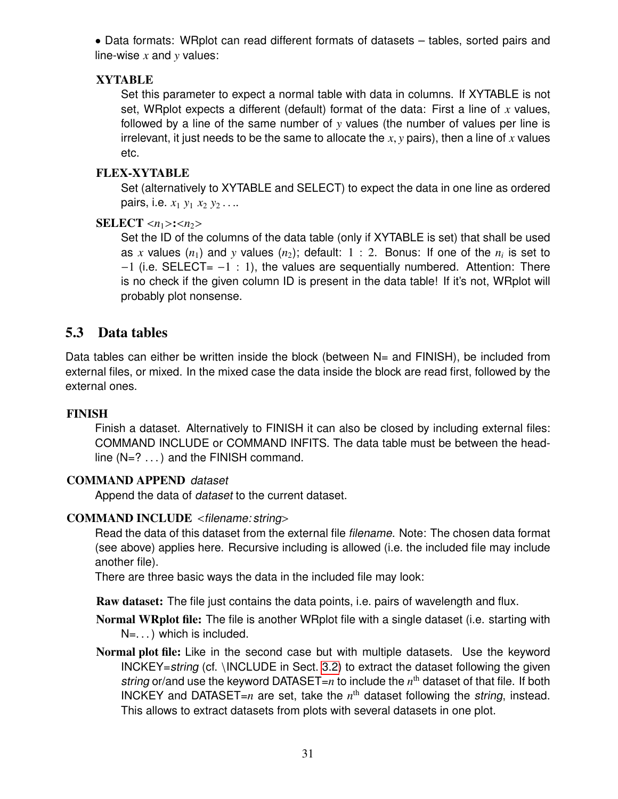<span id="page-30-1"></span>• Data formats: WRplot can read different formats of datasets – tables, sorted pairs and line-wise *x* and *y* values:

## **XYTABLE**

Set this parameter to expect a normal table with data in columns. If XYTABLE is not set, WRplot expects a different (default) format of the data: First a line of *x* values, followed by a line of the same number of *y* values (the number of values per line is irrelevant, it just needs to be the same to allocate the *<sup>x</sup>*, *<sup>y</sup>* pairs), then a line of *<sup>x</sup>* values etc.

## FLEX-XYTABLE

Set (alternatively to XYTABLE and SELECT) to expect the data in one line as ordered pairs, i.e. *<sup>x</sup>*<sup>1</sup> *<sup>y</sup>*<sup>1</sup> *<sup>x</sup>*<sup>2</sup> *<sup>y</sup>*<sup>2</sup> . . ..

## SELECT  $\langle n_1 \rangle$ : $\langle n_2 \rangle$

Set the ID of the columns of the data table (only if XYTABLE is set) that shall be used as x values  $(n_1)$  and y values  $(n_2)$ ; default:  $1:2$ . Bonus: If one of the  $n_i$  is set to  $-1$  (i.e. SELECT=  $-1$  : 1), the values are sequentially numbered. Attention: There is no check if the given column ID is present in the data table! If it's not, WRplot will probably plot nonsense.

## <span id="page-30-0"></span>5.3 Data tables

Data tables can either be written inside the block (between N= and FINISH), be included from external files, or mixed. In the mixed case the data inside the block are read first, followed by the external ones.

## FINISH

Finish a dataset. Alternatively to FINISH it can also be closed by including external files: COMMAND INCLUDE or COMMAND INFITS. The data table must be between the headline  $(N=?\ldots)$  and the FINISH command.

## COMMAND APPEND dataset

Append the data of dataset to the current dataset.

## COMMAND INCLUDE <filename: string>

Read the data of this dataset from the external file filename. Note: The chosen data format (see above) applies here. Recursive including is allowed (i.e. the included file may include another file).

There are three basic ways the data in the included file may look:

Raw dataset: The file just contains the data points, i.e. pairs of wavelength and flux.

Normal WRplot file: The file is another WRplot file with a single dataset (i.e. starting with  $N = ...$ ) which is included.

Normal plot file: Like in the second case but with multiple datasets. Use the keyword INCKEY=string (cf. \INCLUDE in Sect. [3.2\)](#page-8-0) to extract the dataset following the given string or/and use the keyword DATASET=n to include the  $n<sup>th</sup>$  dataset of that file. If both INCKEY and DATASET= $n$  are set, take the  $n<sup>th</sup>$  dataset following the string, instead. This allows to extract datasets from plots with several datasets in one plot.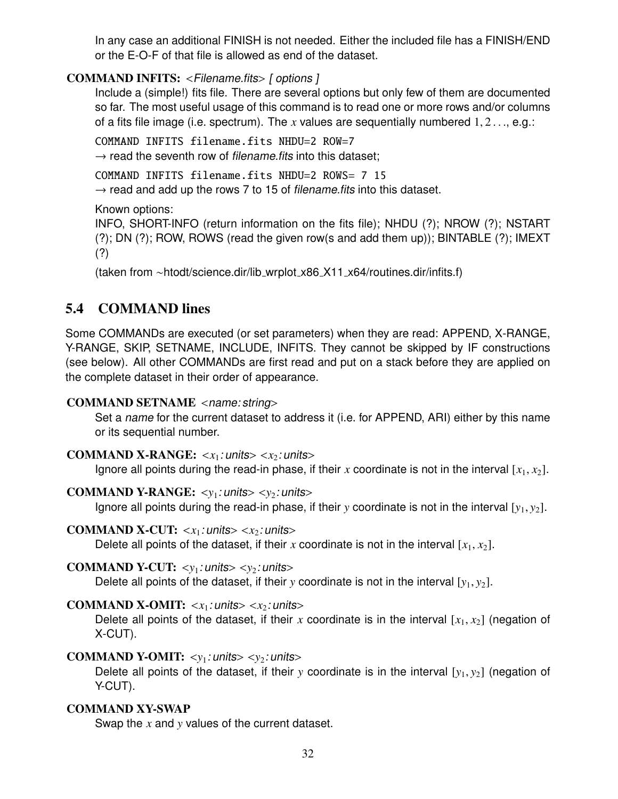<span id="page-31-1"></span>In any case an additional FINISH is not needed. Either the included file has a FINISH/END or the E-O-F of that file is allowed as end of the dataset.

## COMMAND INFITS: <Filename.fits> [ options ]

Include a (simple!) fits file. There are several options but only few of them are documented so far. The most useful usage of this command is to read one or more rows and/or columns of a fits file image (i.e. spectrum). The *<sup>x</sup>* values are sequentially numbered <sup>1</sup>, <sup>2</sup> . . ., e.g.:

COMMAND INFITS filename.fits NHDU=2 ROW=7  $\rightarrow$  read the seventh row of *filename.fits* into this dataset:

COMMAND INFITS filename.fits NHDU=2 ROWS= 7 15  $\rightarrow$  read and add up the rows 7 to 15 of filename. fits into this dataset.

Known options:

INFO, SHORT-INFO (return information on the fits file); NHDU (?); NROW (?); NSTART (?); DN (?); ROW, ROWS (read the given row(s and add them up)); BINTABLE (?); IMEXT (?)

(taken from ∼htodt/science.dir/lib wrplot x86 X11 x64/routines.dir/infits.f)

## <span id="page-31-0"></span>5.4 COMMAND lines

Some COMMANDs are executed (or set parameters) when they are read: APPEND, X-RANGE, Y-RANGE, SKIP, SETNAME, INCLUDE, INFITS. They cannot be skipped by IF constructions (see below). All other COMMANDs are first read and put on a stack before they are applied on the complete dataset in their order of appearance.

## COMMAND SETNAME <name: string>

Set a name for the current dataset to address it (i.e. for APPEND, ARI) either by this name or its sequential number.

#### COMMAND X-RANGE:  $\langle x_1 : \text{units} \rangle \langle x_2 : \text{units} \rangle$

Ignore all points during the read-in phase, if their x coordinate is not in the interval  $[x_1, x_2]$ .

## **COMMAND Y-RANGE:**  $\langle y_1 : \text{units} \rangle \langle y_2 : \text{units} \rangle$

Ignore all points during the read-in phase, if their *y* coordinate is not in the interval  $[y_1, y_2]$ .

#### **COMMAND X-CUT:**  $\langle x_1 : \text{units} \rangle \langle x_2 : \text{units} \rangle$

Delete all points of the dataset, if their x coordinate is not in the interval  $[x_1, x_2]$ .

## COMMAND Y-CUT:  $\langle y_1 : \text{units} \rangle \langle y_2 : \text{units} \rangle$

Delete all points of the dataset, if their *y* coordinate is not in the interval  $[y_1, y_2]$ .

## COMMAND X-OMIT:  $\langle x_1 : \text{units} \rangle \langle x_2 : \text{units} \rangle$

Delete all points of the dataset, if their x coordinate is in the interval  $[x_1, x_2]$  (negation of X-CUT).

## **COMMAND Y-OMIT:**  $\langle y_1 : \text{units} \rangle \langle y_2 : \text{units} \rangle$

Delete all points of the dataset, if their *y* coordinate is in the interval  $[y_1, y_2]$  (negation of Y-CUT).

## COMMAND XY-SWAP

Swap the *x* and *y* values of the current dataset.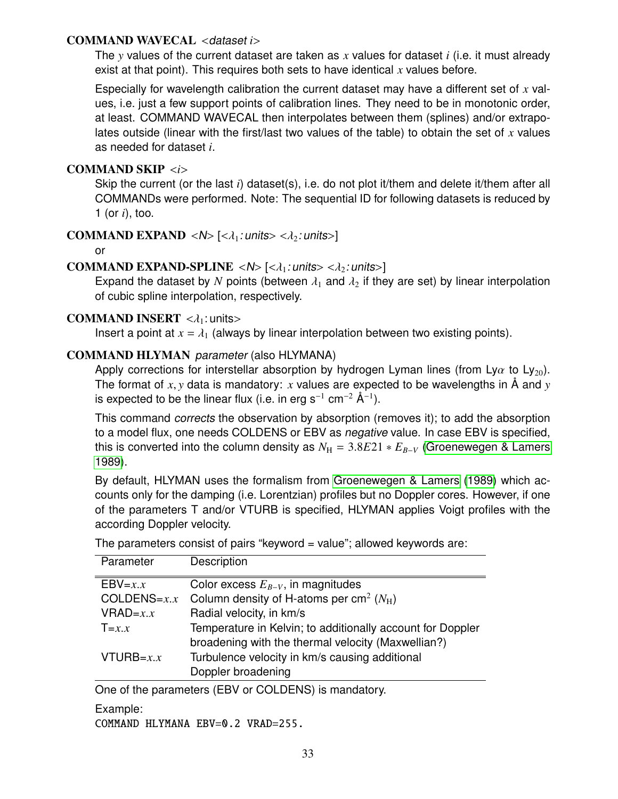#### <span id="page-32-0"></span>COMMAND WAVECAL <dataset *<sup>i</sup>*>

The *y* values of the current dataset are taken as *x* values for dataset *i* (i.e. it must already exist at that point). This requires both sets to have identical *x* values before.

Especially for wavelength calibration the current dataset may have a different set of *x* values, i.e. just a few support points of calibration lines. They need to be in monotonic order, at least. COMMAND WAVECAL then interpolates between them (splines) and/or extrapolates outside (linear with the first/last two values of the table) to obtain the set of *x* values as needed for dataset *i*.

### COMMAND SKIP <*i*>

Skip the current (or the last *i*) dataset(s), i.e. do not plot it/them and delete it/them after all COMMANDs were performed. Note: The sequential ID for following datasets is reduced by 1 (or *i*), too.

COMMAND EXPAND < $N$ >  $\leq k$  : units> < $\lambda_2$ : units>

or

#### COMMAND EXPAND-SPLINE  $\langle N \rangle$   $[\langle \lambda_1 : \text{units} \rangle \langle \lambda_2 : \text{units} \rangle]$

Expand the dataset by *N* points (between  $\lambda_1$  and  $\lambda_2$  if they are set) by linear interpolation of cubic spline interpolation, respectively.

#### **COMMAND INSERT**  $\langle \lambda_1 : \text{units} \rangle$

Insert a point at  $x = \lambda_1$  (always by linear interpolation between two existing points).

#### COMMAND HLYMAN parameter (also HLYMANA)

Apply corrections for interstellar absorption by hydrogen Lyman lines (from Ly $\alpha$  to Ly<sub>20</sub>). The format of *<sup>x</sup>*, *<sup>y</sup>* data is mandatory: *<sup>x</sup>* values are expected to be wavelengths in Å and *<sup>y</sup>* is expected to be the linear flux (i.e. in erg s<sup>-1</sup> cm<sup>-2</sup> Å<sup>-1</sup>).

This command corrects the observation by absorption (removes it); to add the absorption to a model flux, one needs COLDENS or EBV as negative value. In case EBV is specified, this is converted into the column density as  $N_{\rm H} = 3.8E21 * E_{B-V}$  [\(Groenewegen & Lamers](#page-41-1) [1989\)](#page-41-1).

By default, HLYMAN uses the formalism from [Groenewegen & Lamers](#page-41-1) [\(1989\)](#page-41-1) which accounts only for the damping (i.e. Lorentzian) profiles but no Doppler cores. However, if one of the parameters T and/or VTURB is specified, HLYMAN applies Voigt profiles with the according Doppler velocity.

The parameters consist of pairs "keyword = value"; allowed keywords are:

| Parameter     | Description                                                   |
|---------------|---------------------------------------------------------------|
| $EBV=x.x$     | Color excess $E_{B-V}$ , in magnitudes                        |
| $COLDENS=x.x$ | Column density of H-atoms per cm <sup>2</sup> ( $N_{\rm H}$ ) |
| $VRAD=x.x$    | Radial velocity, in km/s                                      |
| $T=x.x$       | Temperature in Kelvin; to additionally account for Doppler    |
|               | broadening with the thermal velocity (Maxwellian?)            |
| $VTURB=x.x$   | Turbulence velocity in km/s causing additional                |
|               | Doppler broadening                                            |

One of the parameters (EBV or COLDENS) is mandatory.

Example:

COMMAND HLYMANA EBV=0.2 VRAD=255.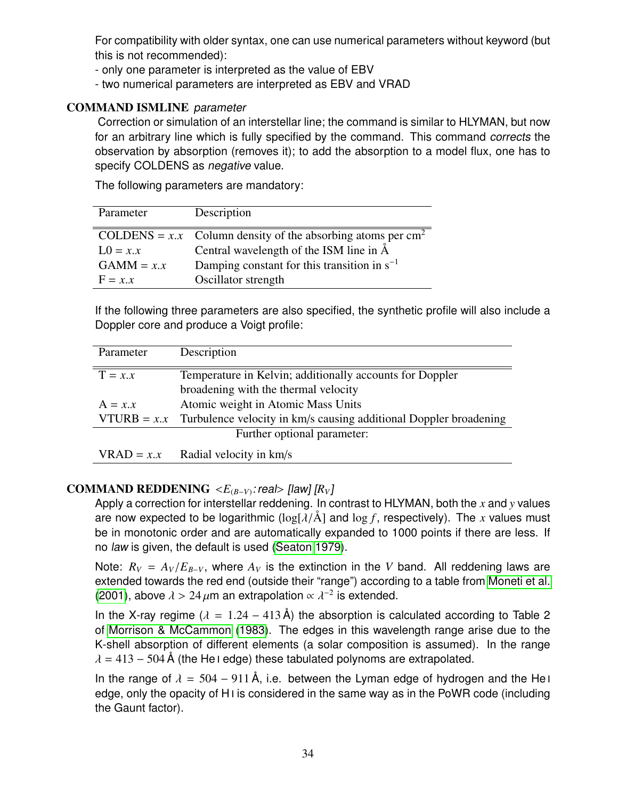<span id="page-33-0"></span>For compatibility with older syntax, one can use numerical parameters without keyword (but this is not recommended):

- only one parameter is interpreted as the value of EBV
- two numerical parameters are interpreted as EBV and VRAD

## COMMAND ISMLINE parameter

Correction or simulation of an interstellar line; the command is similar to HLYMAN, but now for an arbitrary line which is fully specified by the command. This command corrects the observation by absorption (removes it); to add the absorption to a model flux, one has to specify COLDENS as *negative* value.

The following parameters are mandatory:

| Parameter    | Description                                                               |
|--------------|---------------------------------------------------------------------------|
|              | COLDENS = $x.x$ Column density of the absorbing atoms per cm <sup>2</sup> |
| $L0 = x.x$   | Central wavelength of the ISM line in $\AA$                               |
| $GAMM = x.x$ | Damping constant for this transition in $s^{-1}$                          |
| $F = x.x$    | Oscillator strength                                                       |
|              |                                                                           |

If the following three parameters are also specified, the synthetic profile will also include a Doppler core and produce a Voigt profile:

| Parameter                                                             | Description                                                                     |  |  |  |
|-----------------------------------------------------------------------|---------------------------------------------------------------------------------|--|--|--|
| $T = x.x$<br>Temperature in Kelvin; additionally accounts for Doppler |                                                                                 |  |  |  |
|                                                                       | broadening with the thermal velocity                                            |  |  |  |
| $A = x.x$                                                             | Atomic weight in Atomic Mass Units                                              |  |  |  |
|                                                                       | VTURB = $x.x$ Turbulence velocity in km/s causing additional Doppler broadening |  |  |  |
|                                                                       | Further optional parameter:                                                     |  |  |  |
| $VRAD = x.x$                                                          | Radial velocity in km/s                                                         |  |  |  |

# **COMMAND REDDENING**  $\langle E_{(B-V)} : \text{real} \rangle$  [law]  $[R_V]$ <br>Apply a correction for interstallar reddening ln c

Apply a correction for interstellar reddening. In contrast to HLYMAN, both the *x* and *y* values are now expected to be logarithmic  $(\log[\lambda/\text{\AA}]$  and  $\log f$ , respectively). The x values must be in monotonic order and are automatically expanded to 1000 points if there are less. If no law is given, the default is used [\(Seaton 1979\)](#page-41-2).

Note:  $R_V = A_V/E_{B-V}$ , where  $A_V$  is the extinction in the *V* band. All reddening laws are extended towards the red end (outside their "range") according to a table from [Moneti et al.](#page-41-3) [\(2001\)](#page-41-3), above  $\lambda > 24 \,\mu$ m an extrapolation  $\propto \lambda^{-2}$  is extended.

In the X-ray regime ( $\lambda = 1.24 - 413$  Å) the absorption is calculated according to Table 2 of [Morrison & McCammon](#page-41-4) [\(1983\)](#page-41-4). The edges in this wavelength range arise due to the K-shell absorption of different elements (a solar composition is assumed). In the range  $\lambda = 413 - 504$ Å (the He i edge) these tabulated polynoms are extrapolated.

In the range of  $\lambda = 504 - 911 \text{ Å}$ , i.e. between the Lyman edge of hydrogen and the He i edge, only the opacity of H<sub>I</sub> is considered in the same way as in the PoWR code (including the Gaunt factor).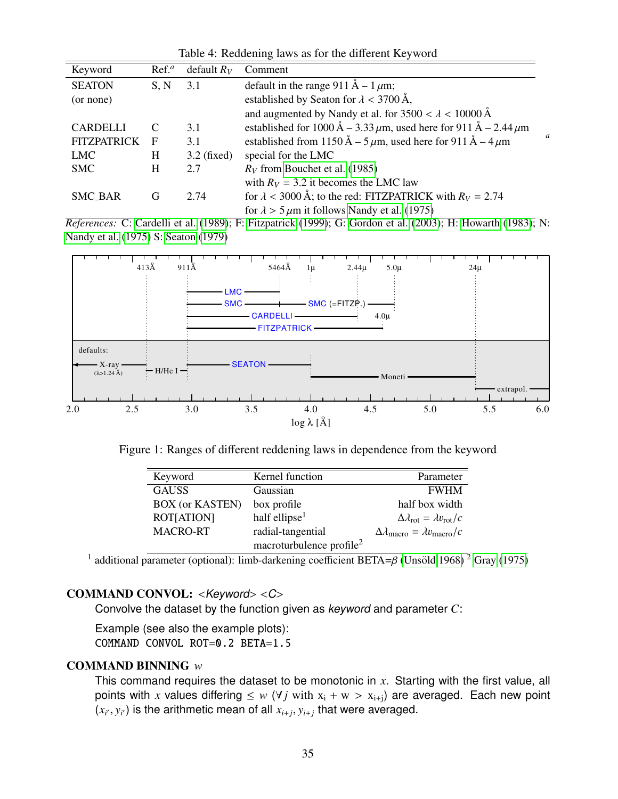<span id="page-34-0"></span>

| Keyword            | Ref. <sup>a</sup> | default $R_V$ | Comment                                                                                                      |
|--------------------|-------------------|---------------|--------------------------------------------------------------------------------------------------------------|
| <b>SEATON</b>      | S, N              | 3.1           | default in the range 911 Å – 1 $\mu$ m;                                                                      |
| (or none)          |                   |               | established by Seaton for $\lambda$ < 3700 Å,                                                                |
|                    |                   |               | and augmented by Nandy et al. for $3500 < \lambda < 10000$ Å                                                 |
| <b>CARDELLI</b>    | C                 | 3.1           | established for $1000 \text{ Å} - 3.33 \mu \text{m}$ , used here for 911 Å - 2.44 $\mu \text{m}$             |
| <b>FITZPATRICK</b> | F                 | 3.1           | a<br>established from 1150 Å – 5 $\mu$ m, used here for 911 Å – 4 $\mu$ m                                    |
| <b>LMC</b>         | H                 | $3.2$ (fixed) | special for the LMC                                                                                          |
| <b>SMC</b>         | H                 | 2.7           | $R_V$ from Bouchet et al. (1985)                                                                             |
|                    |                   |               | with $R_V = 3.2$ it becomes the LMC law                                                                      |
| <b>SMC_BAR</b>     | G                 | 2.74          | for $\lambda$ < 3000 Å; to the red: FITZPATRICK with $R_V = 2.74$                                            |
|                    |                   |               | for $\lambda > 5 \mu m$ it follows Nandy et al. (1975)                                                       |
|                    |                   |               | References: C: Cardelli et al. (1989); F: Fitzpatrick (1999); G: Gordon et al. (2003); H: Howarth (1983); N: |

Table 4: Reddening laws as for the different Keyword

[Nandy et al.](#page-41-6) [\(1975\)](#page-41-6) S: [Seaton](#page-41-2) [\(1979\)](#page-41-2)



Figure 1: Ranges of different reddening laws in dependence from the keyword

| Keyword                | Kernel function                      | Parameter                                                    |
|------------------------|--------------------------------------|--------------------------------------------------------------|
| <b>GAUSS</b>           | Gaussian                             | <b>FWHM</b>                                                  |
| <b>BOX</b> (or KASTEN) | box profile                          | half box width                                               |
| <b>ROT[ATION]</b>      | half ellipse <sup>1</sup>            | $\Delta \lambda_{\rm rot} = \lambda v_{\rm rot}/c$           |
| <b>MACRO-RT</b>        | radial-tangential                    | $\Delta \lambda_{\text{macro}} = \lambda v_{\text{macro}}/c$ |
|                        | macroturbulence profile <sup>2</sup> |                                                              |

<sup>1</sup> additional parameter (optional): limb-darkening coefficient BETA= $\beta$  (Unsöld 1968)<sup>2</sup> [Gray](#page-41-12) [\(1975\)](#page-41-12)

#### COMMAND CONVOL: <Keyword> <C>

Convolve the dataset by the function given as keyword and parameter *C*:

Example (see also the example plots): COMMAND CONVOL ROT=0.2 BETA=1.5

#### COMMAND BINNING *w*

This command requires the dataset to be monotonic in *x*. Starting with the first value, all points with *x* values differing  $\leq w$  ( $\forall j$  with  $x_i + w > x_{i+j}$ ) are averaged. Each new point  $(x_{i'}, y_{i'})$  is the arithmetic mean of all  $x_{i+j}, y_{i+j}$  that were averaged.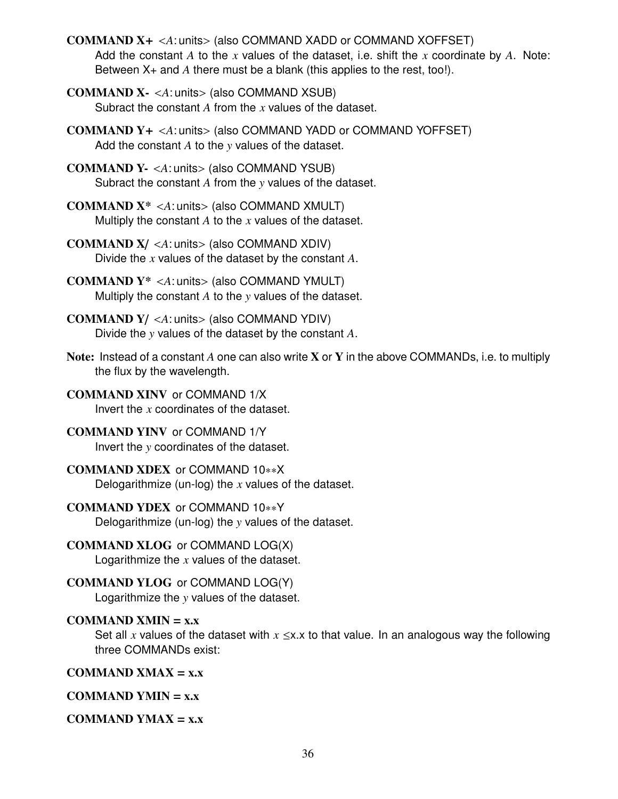COMMAND X<sup>+</sup> <*A*: units> (also COMMAND XADD or COMMAND XOFFSET) Add the constant *A* to the *x* values of the dataset, i.e. shift the *x* coordinate by *A*. Note: Between X+ and *A* there must be a blank (this applies to the rest, too!).

COMMAND X- <*A*: units> (also COMMAND XSUB) Subract the constant *A* from the *x* values of the dataset.

COMMAND Y<sup>+</sup> <*A*: units> (also COMMAND YADD or COMMAND YOFFSET) Add the constant *A* to the *y* values of the dataset.

COMMAND Y- <*A*: units> (also COMMAND YSUB) Subract the constant *A* from the *y* values of the dataset.

COMMAND X\* <*A*: units> (also COMMAND XMULT) Multiply the constant *A* to the *x* values of the dataset.

COMMAND X/ <*A*: units> (also COMMAND XDIV) Divide the *x* values of the dataset by the constant *A*.

COMMAND Y\* <*A*: units> (also COMMAND YMULT) Multiply the constant *A* to the *y* values of the dataset.

COMMAND Y/ <*A*: units> (also COMMAND YDIV) Divide the *y* values of the dataset by the constant *A*.

Note: Instead of a constant *A* one can also write X or Y in the above COMMANDs, i.e. to multiply the flux by the wavelength.

COMMAND XINV or COMMAND 1/X Invert the *x* coordinates of the dataset.

## COMMAND YINV or COMMAND 1/Y

Invert the *y* coordinates of the dataset.

## COMMAND XDEX or COMMAND 10∗∗X

Delogarithmize (un-log) the *x* values of the dataset.

## COMMAND YDEX or COMMAND 10∗∗Y

Delogarithmize (un-log) the *y* values of the dataset.

COMMAND XLOG or COMMAND LOG(X)

Logarithmize the *x* values of the dataset.

## COMMAND YLOG or COMMAND LOG(Y)

Logarithmize the *y* values of the dataset.

#### COMMAND XMIN  $= x.x$

Set all x values of the dataset with  $x \le x$ .x to that value. In an analogous way the following three COMMANDs exist:

COMMAND XMAX  $= x.x$ 

COMMAND YMIN  $= x.x$ 

## COMMAND YMAX  $= x.x$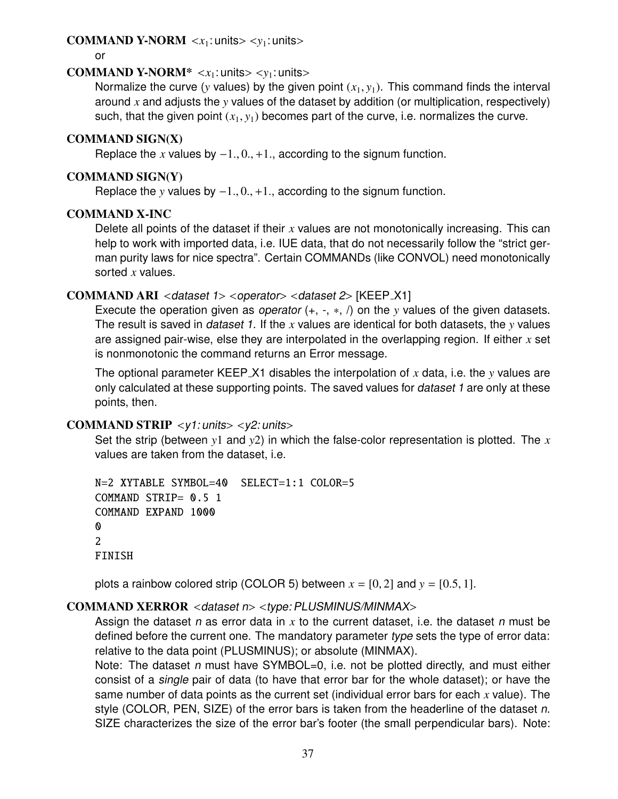#### <span id="page-36-0"></span>**COMMAND Y-NORM**  $\langle x_1 : \text{units} \rangle \langle y_1 : \text{units} \rangle$

or

#### **COMMAND Y-NORM\***  $\langle x_1 : \text{units} \rangle \langle y_1 : \text{units} \rangle$

Normalize the curve (*y* values) by the given point  $(x_1, y_1)$ . This command finds the interval around *x* and adjusts the *y* values of the dataset by addition (or multiplication, respectively) such, that the given point  $(x_1, y_1)$  becomes part of the curve, i.e. normalizes the curve.

#### COMMAND SIGN(X)

Replace the *x* values by  $-1, 0, +1$ , according to the signum function.

#### COMMAND SIGN(Y)

Replace the *<sup>y</sup>* values by <sup>−</sup>1., <sup>0</sup>., <sup>+</sup>1., according to the signum function.

#### COMMAND X-INC

Delete all points of the dataset if their *x* values are not monotonically increasing. This can help to work with imported data, i.e. IUE data, that do not necessarily follow the "strict german purity laws for nice spectra". Certain COMMANDs (like CONVOL) need monotonically sorted *x* values.

#### COMMAND ARI <dataset 1> <operator> <dataset 2> [KEEP\_X1]

Execute the operation given as operator (+, -, ∗, /) on the *y* values of the given datasets. The result is saved in dataset 1. If the *x* values are identical for both datasets, the *y* values are assigned pair-wise, else they are interpolated in the overlapping region. If either *x* set is nonmonotonic the command returns an Error message.

The optional parameter KEEP X1 disables the interpolation of *x* data, i.e. the *y* values are only calculated at these supporting points. The saved values for *dataset 1* are only at these points, then.

#### COMMAND STRIP <y1: units> <y2: units>

Set the strip (between *y*1 and *y*2) in which the false-color representation is plotted. The *x* values are taken from the dataset, i.e.

```
N=2 XYTABLE SYMBOL=40 SELECT=1:1 COLOR=5
COMMAND STRIP= 0.5 1
COMMAND EXPAND 1000
0
2
FINISH
```
plots a rainbow colored strip (COLOR 5) between  $x = [0, 2]$  and  $y = [0.5, 1]$ .

## COMMAND XERROR <dataset n> <type: PLUSMINUS/MINMAX>

Assign the dataset n as error data in *x* to the current dataset, i.e. the dataset n must be defined before the current one. The mandatory parameter type sets the type of error data: relative to the data point (PLUSMINUS); or absolute (MINMAX).

Note: The dataset n must have SYMBOL=0, i.e. not be plotted directly, and must either consist of a single pair of data (to have that error bar for the whole dataset); or have the same number of data points as the current set (individual error bars for each *x* value). The style (COLOR, PEN, SIZE) of the error bars is taken from the headerline of the dataset n. SIZE characterizes the size of the error bar's footer (the small perpendicular bars). Note: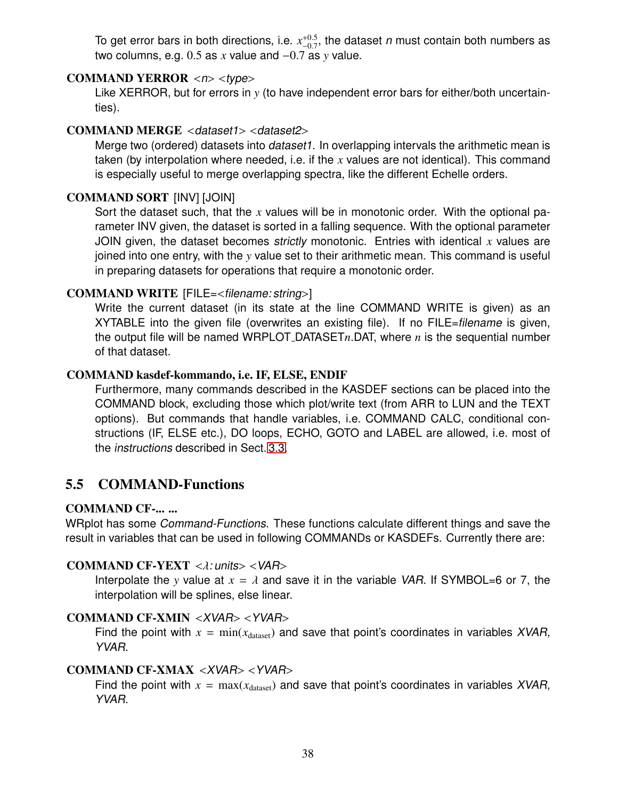<span id="page-37-1"></span>To get error bars in both directions, i.e.  $x_{-0.7}^{+0.5}$ , the dataset n must contain both numbers as two columns, e.g.  $0.5$  as *x* value and  $-0.7$  as *y* value.

#### COMMAND YERROR  $\langle n \rangle \langle \text{type} \rangle$

Like XERROR, but for errors in *y* (to have independent error bars for either/both uncertainties).

#### COMMAND MERGE <dataset1> <dataset2>

Merge two (ordered) datasets into dataset1. In overlapping intervals the arithmetic mean is taken (by interpolation where needed, i.e. if the *x* values are not identical). This command is especially useful to merge overlapping spectra, like the different Echelle orders.

#### COMMAND SORT [INV] [JOIN]

Sort the dataset such, that the *x* values will be in monotonic order. With the optional parameter INV given, the dataset is sorted in a falling sequence. With the optional parameter JOIN given, the dataset becomes strictly monotonic. Entries with identical *x* values are joined into one entry, with the *y* value set to their arithmetic mean. This command is useful in preparing datasets for operations that require a monotonic order.

#### COMMAND WRITE [FILE=<filename: string>]

Write the current dataset (in its state at the line COMMAND WRITE is given) as an XYTABLE into the given file (overwrites an existing file). If no FILE=*filename* is given, the output file will be named WRPLOT DATASET*n*.DAT, where *n* is the sequential number of that dataset.

#### COMMAND kasdef-kommando, i.e. IF, ELSE, ENDIF

Furthermore, many commands described in the KASDEF sections can be placed into the COMMAND block, excluding those which plot/write text (from ARR to LUN and the TEXT options). But commands that handle variables, i.e. COMMAND CALC, conditional constructions (IF, ELSE etc.), DO loops, ECHO, GOTO and LABEL are allowed, i.e. most of the instructions described in Sect. [3.3.](#page-10-0)

## <span id="page-37-0"></span>5.5 COMMAND-Functions

#### COMMAND CF-... ...

WRplot has some Command-Functions. These functions calculate different things and save the result in variables that can be used in following COMMANDs or KASDEFs. Currently there are:

#### COMMAND CF-YEXT  $\langle \lambda : \text{units} \rangle \langle \text{VAR} \rangle$

Interpolate the *y* value at  $x = \lambda$  and save it in the variable VAR. If SYMBOL=6 or 7, the interpolation will be splines, else linear.

#### COMMAND CF-XMIN <XVAR> <YVAR>

Find the point with  $x = min(x<sub>dataset</sub>)$  and save that point's coordinates in variables XVAR, YVAR.

#### COMMAND CF-XMAX <XVAR> <YVAR>

Find the point with  $x = max(x<sub>dataset</sub>)$  and save that point's coordinates in variables XVAR, YVAR.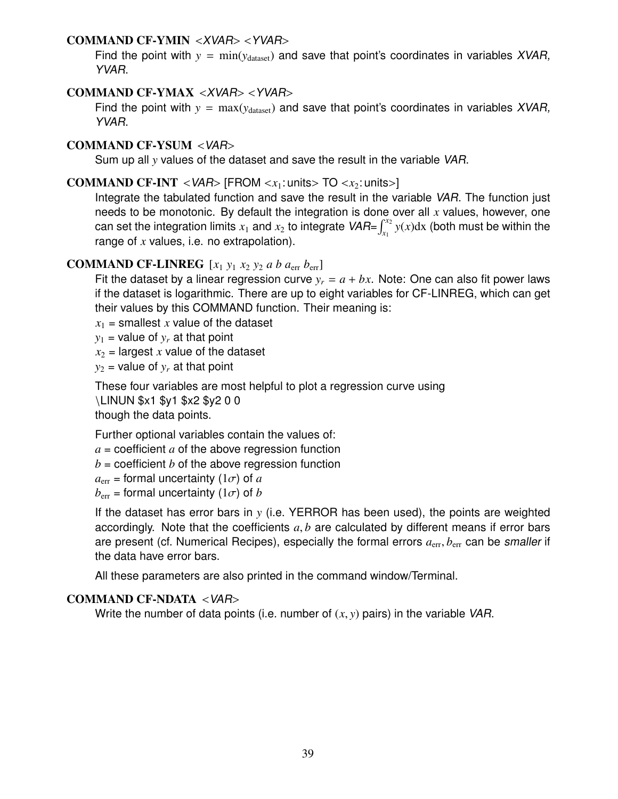#### COMMAND CF-YMIN <XVAR> <YVAR>

Find the point with  $y = min(y_{dataset})$  and save that point's coordinates in variables XVAR, YVAR.

#### COMMAND CF-YMAX <XVAR> <YVAR>

Find the point with  $y = max(y<sub>dataset</sub>)$  and save that point's coordinates in variables XVAR, YVAR.

#### COMMAND CF-YSUM <VAR>

Sum up all *y* values of the dataset and save the result in the variable VAR.

#### **COMMAND CF-INT** <*VAR*> [FROM < $x_1$ : units> TO < $x_2$ : units>]

Integrate the tabulated function and save the result in the variable VAR. The function just needs to be monotonic. By default the integration is done over all *x* values, however, one can set the integration limits  $x_1$  and  $x_2$  to integrate  $\mathsf{VAR}=\int_{x_1}^{x_2} y(x) \mathrm{d}x$  (both must be within the range of *x* values, i.e. no extrapolation).

#### **COMMAND CF-LINREG**  $[x_1 \, y_1 \, x_2 \, y_2 \, a \, b \, a_{\text{err}} \, b_{\text{err}}]$

Fit the dataset by a linear regression curve  $y_r = a + bx$ . Note: One can also fit power laws if the dataset is logarithmic. There are up to eight variables for CF-LINREG, which can get their values by this COMMAND function. Their meaning is:

 $x_1$  = smallest *x* value of the dataset

 $y_1$  = value of  $y_r$  at that point

 $x_2$  = largest *x* value of the dataset

 $y_2$  = value of  $y_r$  at that point

These four variables are most helpful to plot a regression curve using

\LINUN \$x1 \$y1 \$x2 \$y2 0 0

though the data points.

Further optional variables contain the values of:

 $a =$  coefficient  $a$  of the above regression function

 $b =$  coefficient  $b$  of the above regression function

 $a_{\text{err}}$  = formal uncertainty (1 $\sigma$ ) of *a* 

 $b_{\text{err}}$  = formal uncertainty (1 $\sigma$ ) of *b* 

If the dataset has error bars in *y* (i.e. YERROR has been used), the points are weighted accordingly. Note that the coefficients *<sup>a</sup>*, *<sup>b</sup>* are calculated by different means if error bars are present (cf. Numerical Recipes), especially the formal errors  $a_{\rm err}$ ,  $b_{\rm err}$  can be smaller if the data have error bars.

All these parameters are also printed in the command window/Terminal.

#### COMMAND CF-NDATA <VAR>

Write the number of data points (i.e. number of  $(x, y)$  pairs) in the variable VAR.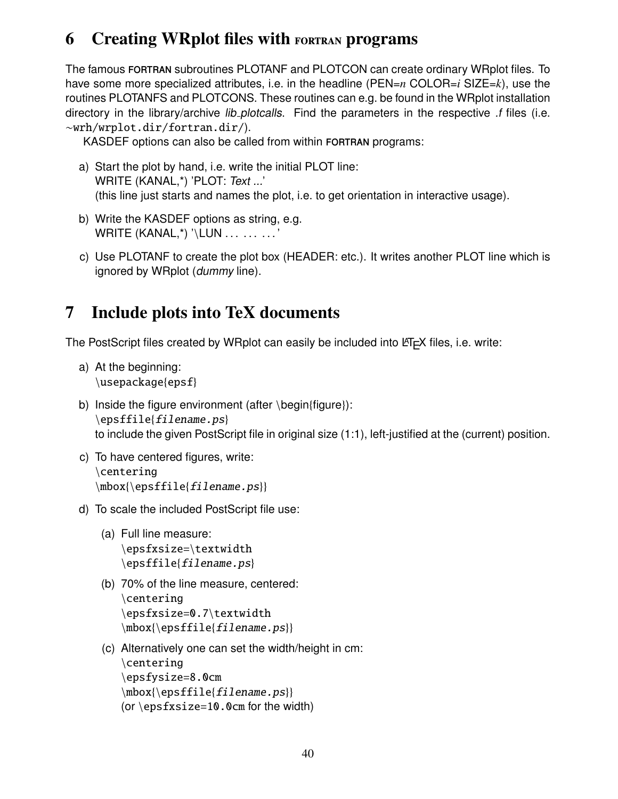## <span id="page-39-0"></span>6 Creating WRplot files with fortran programs

The famous FORTRAN subroutines PLOTANF and PLOTCON can create ordinary WRplot files. To have some more specialized attributes, i.e. in the headline (PEN=*n* COLOR=*i* SIZE=*k*), use the routines PLOTANFS and PLOTCONS. These routines can e.g. be found in the WRplot installation directory in the library/archive *lib plotcalls*. Find the parameters in the respective *f* files (i.e. ∼wrh/wrplot.dir/fortran.dir/).

KASDEF options can also be called from within FORTRAN programs:

- a) Start the plot by hand, i.e. write the initial PLOT line: WRITE (KANAL,\*) 'PLOT: Text ...' (this line just starts and names the plot, i.e. to get orientation in interactive usage).
- b) Write the KASDEF options as string, e.g. WRITE (KANAL,\*) '\LUN . . . . . . . . . '
- c) Use PLOTANF to create the plot box (HEADER: etc.). It writes another PLOT line which is ignored by WRplot (dummy line).

# <span id="page-39-1"></span>7 Include plots into TeX documents

The PostScript files created by WRplot can easily be included into  $\mathbb{E}$ FTEX files, i.e. write:

- a) At the beginning: \usepackage{epsf}
- b) Inside the figure environment (after \begin{figure}):  $\begin{subarray}{c}$  \epsffile{filename.ps} to include the given PostScript file in original size (1:1), left-justified at the (current) position.
- c) To have centered figures, write: \centering  $\mbox{\epsilon}$ {ilename.ps}}
- d) To scale the included PostScript file use:
	- (a) Full line measure: \epsfxsize=\textwidth  $\epsilon_{\text{filename} \text{pr}}$
	- (b) 70% of the line measure, centered: \centering \epsfxsize=0.7\textwidth  $\mbox{\begin{subarray}{c} 1\end{subarray}}$
	- (c) Alternatively one can set the width/height in cm: \centering \epsfysize=8.0cm  $\mbox{\epsffile{file}}$ .ps}} (or  $\epsilon=10$ . Ocm for the width)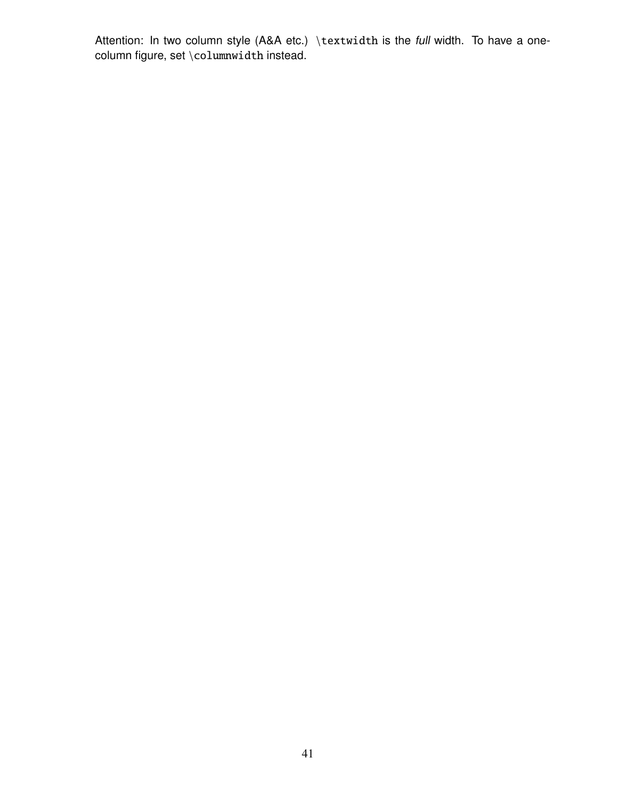Attention: In two column style (A&A etc.) \textwidth is the full width. To have a onecolumn figure, set \columnwidth instead.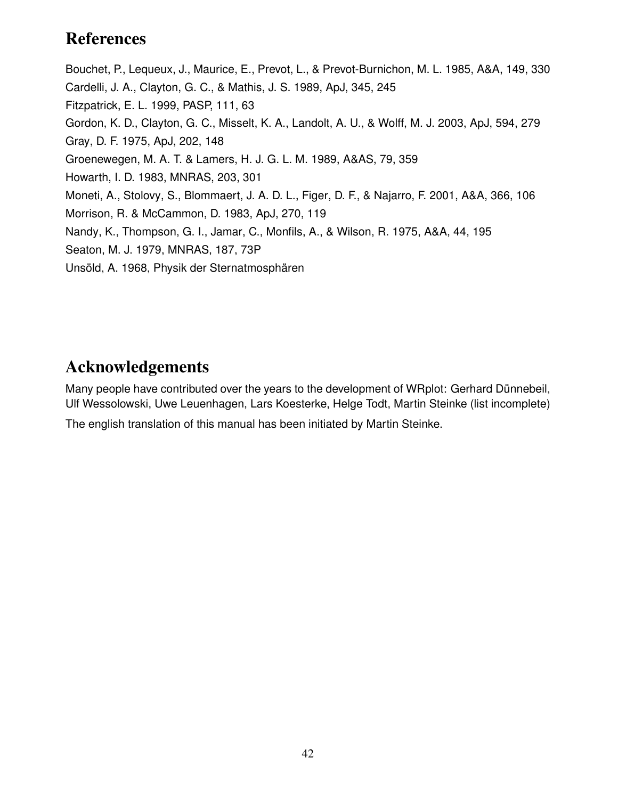## <span id="page-41-0"></span>References

<span id="page-41-12"></span><span id="page-41-10"></span><span id="page-41-9"></span><span id="page-41-8"></span><span id="page-41-7"></span><span id="page-41-5"></span><span id="page-41-4"></span><span id="page-41-3"></span><span id="page-41-1"></span>Bouchet, P., Lequeux, J., Maurice, E., Prevot, L., & Prevot-Burnichon, M. L. 1985, A&A, 149, 330 Cardelli, J. A., Clayton, G. C., & Mathis, J. S. 1989, ApJ, 345, 245 Fitzpatrick, E. L. 1999, PASP, 111, 63 Gordon, K. D., Clayton, G. C., Misselt, K. A., Landolt, A. U., & Wolff, M. J. 2003, ApJ, 594, 279 Gray, D. F. 1975, ApJ, 202, 148 Groenewegen, M. A. T. & Lamers, H. J. G. L. M. 1989, A&AS, 79, 359 Howarth, I. D. 1983, MNRAS, 203, 301 Moneti, A., Stolovy, S., Blommaert, J. A. D. L., Figer, D. F., & Najarro, F. 2001, A&A, 366, 106 Morrison, R. & McCammon, D. 1983, ApJ, 270, 119 Nandy, K., Thompson, G. I., Jamar, C., Monfils, A., & Wilson, R. 1975, A&A, 44, 195 Seaton, M. J. 1979, MNRAS, 187, 73P Unsöld, A. 1968, Physik der Sternatmosphären

## <span id="page-41-11"></span><span id="page-41-6"></span><span id="page-41-2"></span>Acknowledgements

Many people have contributed over the years to the development of WRplot: Gerhard Dünnebeil, Ulf Wessolowski, Uwe Leuenhagen, Lars Koesterke, Helge Todt, Martin Steinke (list incomplete)

The english translation of this manual has been initiated by Martin Steinke.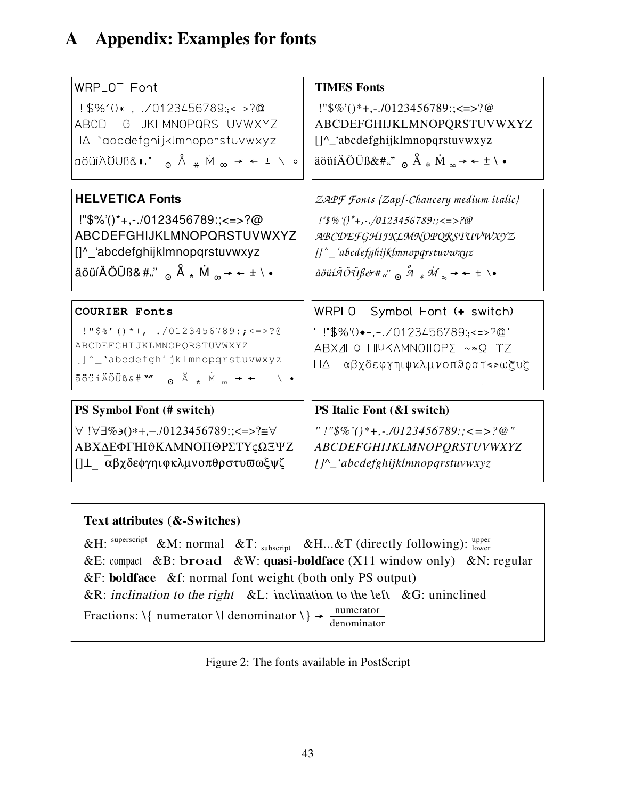# <span id="page-42-0"></span>A Appendix: Examples for fonts

| WRPLOT Font                                                                                                                                                                                                                                                                                                                                                                                                                                                                                                                                                                                                                                                                                                                                                                                                                                                                                                                                                                                                                                                                                                                                                                                                       | <b>TIMES Fonts</b>                                                                                                                                                                                         |
|-------------------------------------------------------------------------------------------------------------------------------------------------------------------------------------------------------------------------------------------------------------------------------------------------------------------------------------------------------------------------------------------------------------------------------------------------------------------------------------------------------------------------------------------------------------------------------------------------------------------------------------------------------------------------------------------------------------------------------------------------------------------------------------------------------------------------------------------------------------------------------------------------------------------------------------------------------------------------------------------------------------------------------------------------------------------------------------------------------------------------------------------------------------------------------------------------------------------|------------------------------------------------------------------------------------------------------------------------------------------------------------------------------------------------------------|
| $1\overset{\cdot\cdot}{\phantom{1}}\phantom{1}3\%$ '()*+,-./0123456789:,<=>?@                                                                                                                                                                                                                                                                                                                                                                                                                                                                                                                                                                                                                                                                                                                                                                                                                                                                                                                                                                                                                                                                                                                                     | !" $\frac{\sqrt{6}}{2}$ ()*+,-./0123456789:;<=>?@                                                                                                                                                          |
| ABCDEFGHIJKLMNOPQRSTUVWXYZ                                                                                                                                                                                                                                                                                                                                                                                                                                                                                                                                                                                                                                                                                                                                                                                                                                                                                                                                                                                                                                                                                                                                                                                        | ABCDEFGHIJKLMNOPQRSTUVWXYZ                                                                                                                                                                                 |
| []∆ `abcdefghijklmnopqrstuvwxyz                                                                                                                                                                                                                                                                                                                                                                                                                                                                                                                                                                                                                                                                                                                                                                                                                                                                                                                                                                                                                                                                                                                                                                                   | []^_'abcdefghijklmnopqrstuvwxyz                                                                                                                                                                            |
| $\alpha$ abuiAOUß& $\alpha$ , $\alpha$ $\alpha$ $\beta$ $\alpha$ $\beta$ $\alpha$ $\beta$ $\alpha$ $\beta$ $\alpha$ $\beta$ $\alpha$ $\beta$ $\beta$ $\alpha$ $\beta$ $\gamma$ $\alpha$ $\beta$ $\gamma$ $\alpha$ $\beta$ $\gamma$ $\alpha$ $\beta$ $\gamma$ $\alpha$ $\beta$ $\gamma$ $\alpha$ $\beta$ $\gamma$ $\alpha$ $\gamma$ $\gamma$ $\alpha$ $\gamma$ $\gamma$ $\alpha$ $\gamma$                                                                                                                                                                                                                                                                                                                                                                                                                                                                                                                                                                                                                                                                                                                                                                                                                          | aouiAOUB&#" $\alpha$ $\stackrel{\circ}{A}$ $\stackrel{\circ}{M}$ $\stackrel{\circ}{\sim}$ $\stackrel{\circ}{A}$ $\stackrel{\circ}{M}$ $\stackrel{\circ}{\sim}$ $\stackrel{\circ}{A}$ $\stackrel{\circ}{N}$ |
| <b>HELVETICA Fonts</b>                                                                                                                                                                                                                                                                                                                                                                                                                                                                                                                                                                                                                                                                                                                                                                                                                                                                                                                                                                                                                                                                                                                                                                                            | ZAPF Fonts (Zapf-Chancery medium italic)                                                                                                                                                                   |
| !"\$%'()*+,-./0123456789:;<=>?@                                                                                                                                                                                                                                                                                                                                                                                                                                                                                                                                                                                                                                                                                                                                                                                                                                                                                                                                                                                                                                                                                                                                                                                   | $\frac{1}{2}$ % '()*+, -./0123456789:; <=>?@                                                                                                                                                               |
| ABCDEFGHIJKLMNOPQRSTUVWXYZ                                                                                                                                                                                                                                                                                                                                                                                                                                                                                                                                                                                                                                                                                                                                                                                                                                                                                                                                                                                                                                                                                                                                                                                        | ABCDEFGHIJKLMNOPQRSTUVWXYZ                                                                                                                                                                                 |
| []^_'abcdefghijklmnopqrstuvwxyz                                                                                                                                                                                                                                                                                                                                                                                                                                                                                                                                                                                                                                                                                                                                                                                                                                                                                                                                                                                                                                                                                                                                                                                   | $\iint_{a}^{\infty}$ abcdefghijklmnopqrstuvwxyz                                                                                                                                                            |
| äöüíÄÖÜß&#<sub>" ∞</sub> Å <sub>∗</sub> M <sub>∞</sub> → ← ± \ •</td><td>aout<math>\ddot{a}</math>O<math>\ddot{a}</math>B&# " <math>\alpha</math> <math>\overset{\circ}{A}</math> * <math>\dot{M}</math> <math>\rightarrow</math> <math>\leftarrow</math> <math>\pm</math> \<math>\bullet</math></td></tr><tr><td><b>COURIER Fonts</b></td><td>WRPLOT Symbol Font (# switch)</td></tr><tr><td><math>! "</math>\$%'()*+,-./0123456789:;<=>?@</td><td>" !"\$%'()*+,-./0123456789:,<=>?@"</td></tr><tr><td>ABCDEFGHIJKLMNOPORSTUVWXYZ</td><td>ΑΒΧΔΕΦΓΗΙΨΚΛΜΝΟΠΘΡΣΤ~≈ΩΞΥΖ</td></tr><tr><td>[]^_'abcdefghijklmnopqrstuvwxyz</td><td>αβχδεφγηιψκλμνοπθρστ≤≥ωξυζ</td></tr><tr><td>äöüíÄÖÜß&# <sup>w</sup> o Å * M ∞ → ← ± \ •</td><td><math>\Box \triangle</math></td></tr><tr><td>PS Symbol Font (# switch)</td><td>PS Italic Font (&I switch)</td></tr><tr><td><math>\forall !\forall \exists \% \Theta() * +, -.0123456789</math> : ; <=>?≅<math>\forall</math></td><td>" !"\$%'()*+,-./0123456789:;<=>?@"</td></tr><tr><td>ΑΒΧΔΕΦΓΗΙΘΚΛΜΝΟΠΘΡΣΤΥςΩΞΨΖ</td><td><b>ABCDEFGHIJKLMNOPQRSTUVWXYZ</b></td></tr><tr><td>[] L _ αβχδεφγηιφκλμνοπθρστυσωξψζ</td><td>[]^_'abcdefghijklmnopqrstuvwxyz</td></tr></tbody></table> |                                                                                                                                                                                                            |

## **Text attributes (&-Switches)**

&H: superscript &M: normal &T: subscript &H...&T (directly following):  $_{\text{lower}}^{\text{upper}}$ &E: compact &B: broad &W: **quasi-boldface** (X11 window only) &N: regular &F: **boldface** &f: normal font weight (both only PS output) &R: inclination to the right &L: inclination to the left &G: uninclined Fractions:  $\setminus \{$  numerator  $\setminus \}$  denominator  $\setminus \} \rightarrow \frac{\text{numerator}}{\text{denominator}}$ 

<span id="page-42-1"></span>Figure 2: The fonts available in PostScript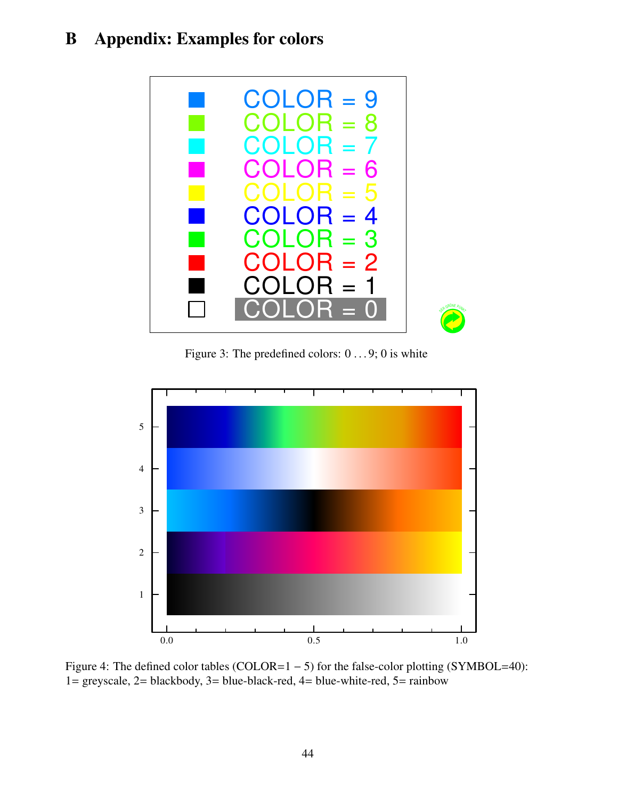# <span id="page-43-0"></span>B Appendix: Examples for colors



Figure 3: The predefined colors:  $0 \dots 9$ ; 0 is white

<span id="page-43-1"></span>

<span id="page-43-2"></span>Figure 4: The defined color tables (COLOR=1 − 5) for the false-color plotting (SYMBOL=40): 1= greyscale, 2= blackbody, 3= blue-black-red, 4= blue-white-red, 5= rainbow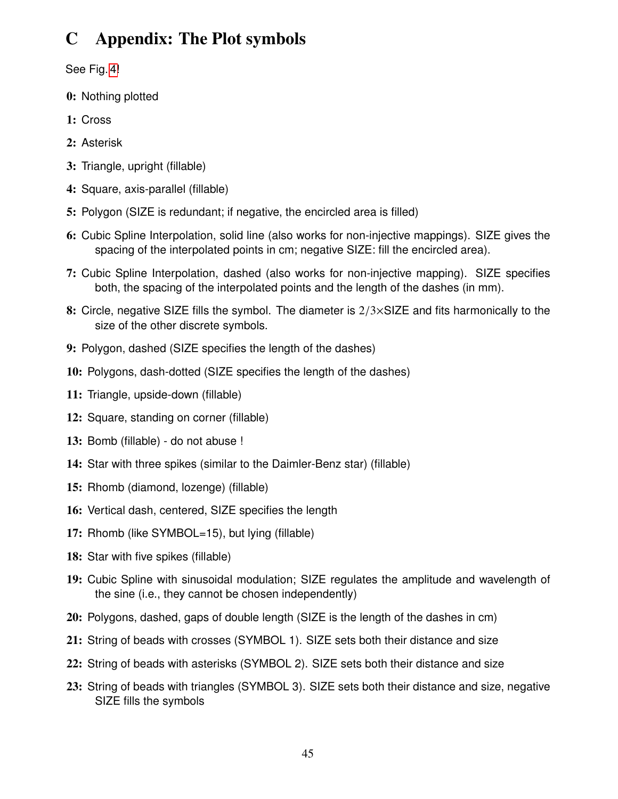# <span id="page-44-1"></span><span id="page-44-0"></span>C Appendix: The Plot symbols

See Fig. [4!](#page-43-2)

- 0: Nothing plotted
- 1: Cross
- 2: Asterisk
- 3: Triangle, upright (fillable)
- 4: Square, axis-parallel (fillable)
- 5: Polygon (SIZE is redundant; if negative, the encircled area is filled)
- 6: Cubic Spline Interpolation, solid line (also works for non-injective mappings). SIZE gives the spacing of the interpolated points in cm; negative SIZE: fill the encircled area).
- 7: Cubic Spline Interpolation, dashed (also works for non-injective mapping). SIZE specifies both, the spacing of the interpolated points and the length of the dashes (in mm).
- 8: Circle, negative SIZE fills the symbol. The diameter is  $2/3 \times$ SIZE and fits harmonically to the size of the other discrete symbols.
- 9: Polygon, dashed (SIZE specifies the length of the dashes)
- 10: Polygons, dash-dotted (SIZE specifies the length of the dashes)
- 11: Triangle, upside-down (fillable)
- 12: Square, standing on corner (fillable)
- 13: Bomb (fillable) do not abuse !
- 14: Star with three spikes (similar to the Daimler-Benz star) (fillable)
- 15: Rhomb (diamond, lozenge) (fillable)
- 16: Vertical dash, centered, SIZE specifies the length
- 17: Rhomb (like SYMBOL=15), but lying (fillable)
- 18: Star with five spikes (fillable)
- 19: Cubic Spline with sinusoidal modulation; SIZE regulates the amplitude and wavelength of the sine (i.e., they cannot be chosen independently)
- 20: Polygons, dashed, gaps of double length (SIZE is the length of the dashes in cm)
- 21: String of beads with crosses (SYMBOL 1). SIZE sets both their distance and size
- 22: String of beads with asterisks (SYMBOL 2). SIZE sets both their distance and size
- 23: String of beads with triangles (SYMBOL 3). SIZE sets both their distance and size, negative SIZE fills the symbols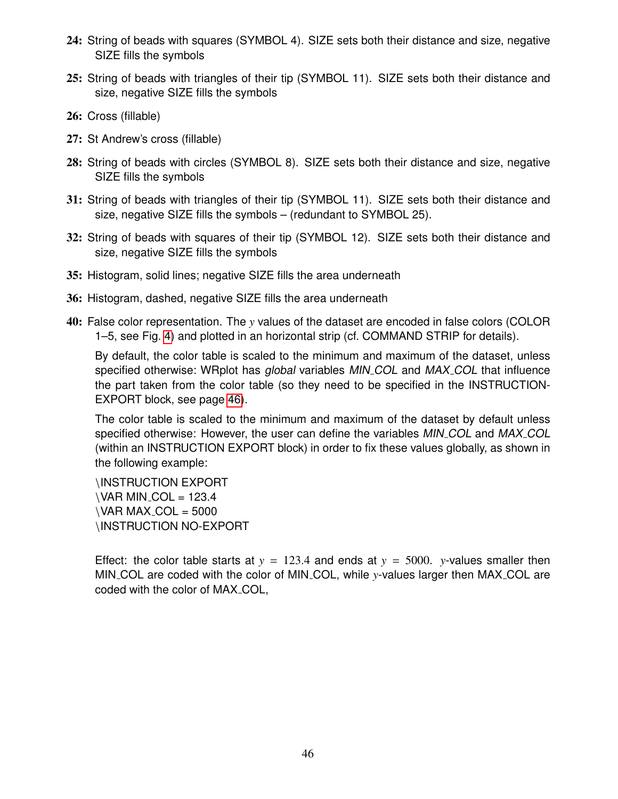- 24: String of beads with squares (SYMBOL 4). SIZE sets both their distance and size, negative SIZE fills the symbols
- 25: String of beads with triangles of their tip (SYMBOL 11). SIZE sets both their distance and size, negative SIZE fills the symbols
- 26: Cross (fillable)
- 27: St Andrew's cross (fillable)
- 28: String of beads with circles (SYMBOL 8). SIZE sets both their distance and size, negative SIZE fills the symbols
- 31: String of beads with triangles of their tip (SYMBOL 11). SIZE sets both their distance and size, negative SIZE fills the symbols – (redundant to SYMBOL 25).
- 32: String of beads with squares of their tip (SYMBOL 12). SIZE sets both their distance and size, negative SIZE fills the symbols
- 35: Histogram, solid lines; negative SIZE fills the area underneath
- 36: Histogram, dashed, negative SIZE fills the area underneath
- 40: False color representation. The *y* values of the dataset are encoded in false colors (COLOR 1–5, see Fig. [4\)](#page-43-2) and plotted in an horizontal strip (cf. COMMAND STRIP for details).

By default, the color table is scaled to the minimum and maximum of the dataset, unless specified otherwise: WRplot has *global* variables MIN<sub>-COL</sub> and MAX<sub>-COL</sub> that influence the part taken from the color table (so they need to be specified in the INSTRUCTION-EXPORT block, see page [46\)](#page-44-0).

The color table is scaled to the minimum and maximum of the dataset by default unless specified otherwise: However, the user can define the variables MIN\_COL and MAX\_COL (within an INSTRUCTION EXPORT block) in order to fix these values globally, as shown in the following example:

\INSTRUCTION EXPORT  $\Delta$ VAR MIN COL = 123.4  $\Delta$  VAR MAX\_COL = 5000 \INSTRUCTION NO-EXPORT

Effect: the color table starts at  $y = 123.4$  and ends at  $y = 5000$ . *y*-values smaller then MIN COL are coded with the color of MIN COL, while *y*-values larger then MAX COL are coded with the color of MAX\_COL,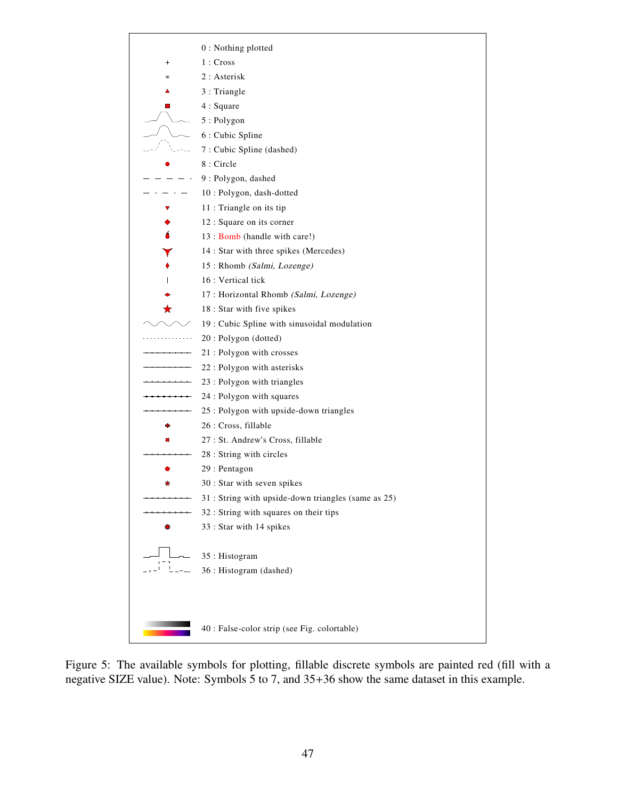

<span id="page-46-0"></span>Figure 5: The available symbols for plotting, fillable discrete symbols are painted red (fill with a negative SIZE value). Note: Symbols 5 to 7, and 35+36 show the same dataset in this example.